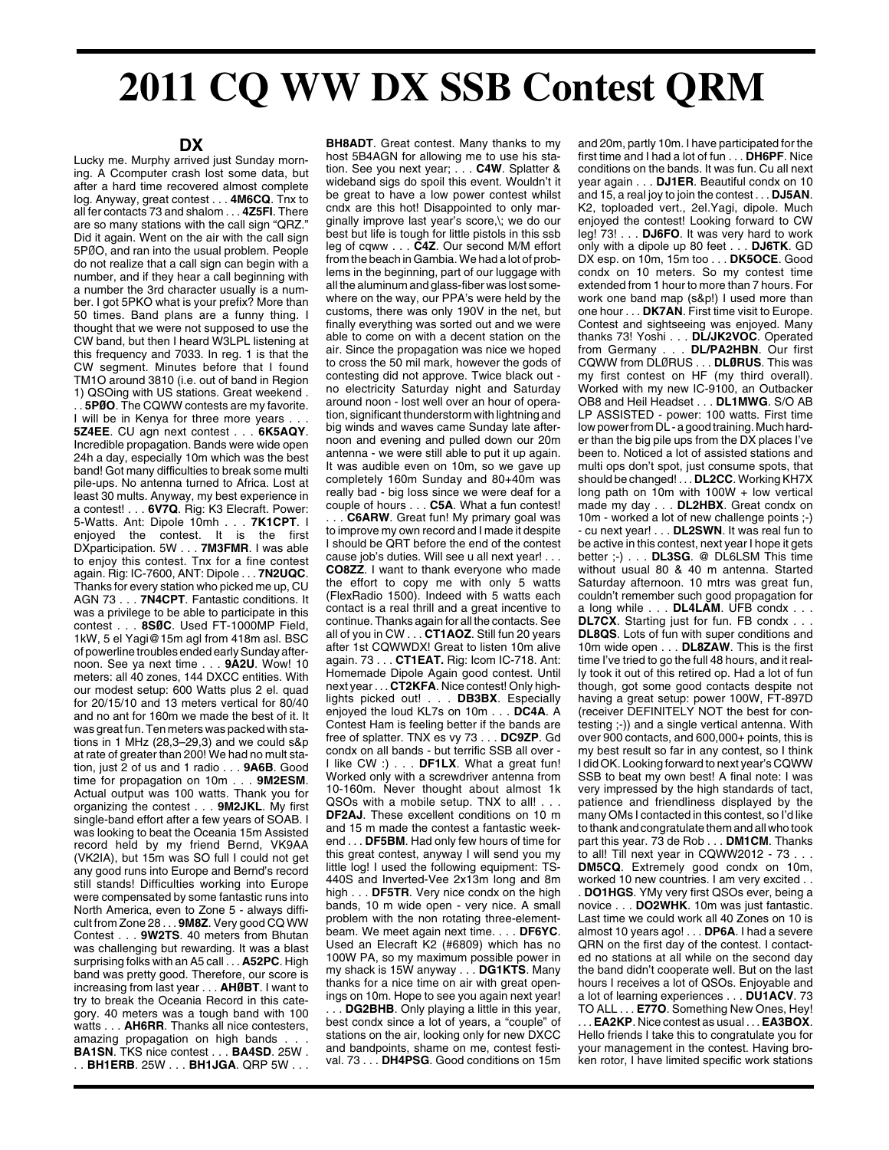## **2011 CQ WW DX SSB Contest QRM**

## **DX**

Lucky me. Murphy arrived just Sunday morning. A Ccomputer crash lost some data, but after a hard time recovered almost complete log. Anyway, great contest . . . **4M6CQ**. Tnx to all fer contacts 73 and shalom . . . **4Z5FI**. There are so many stations with the call sign "QRZ." Did it again. Went on the air with the call sign 5PØO, and ran into the usual problem. People do not realize that a call sign can begin with a number, and if they hear a call beginning with a number the 3rd character usually is a number. I got 5PKO what is your prefix? More than 50 times. Band plans are a funny thing. I thought that we were not supposed to use the CW band, but then I heard W3LPL listening at this frequency and 7033. In reg. 1 is that the CW segment. Minutes before that I found TM1O around 3810 (i.e. out of band in Region 1) QSOing with US stations. Great weekend . . . **5PØO**. The CQWW contests are my favorite. I will be in Kenya for three more years. **5Z4EE**. CU agn next contest . . . **6K5AQY**. Incredible propagation. Bands were wide open 24h a day, especially 10m which was the best band! Got many difficulties to break some multi pile-ups. No antenna turned to Africa. Lost at least 30 mults. Anyway, my best experience in a contest! . . . **6V7Q**. Rig: K3 Elecraft. Power: 5-Watts. Ant: Dipole 10mh . . . **7K1CPT**. I enjoyed the contest. It is the first DXparticipation. 5W . . . **7M3FMR**. I was able to enjoy this contest. Tnx for a fine contest again. Rig: IC-7600, ANT: Dipole . . . **7N2UQC**. Thanks for every station who picked me up, CU AGN 73 . . . **7N4CPT**. Fantastic conditions. It was a privilege to be able to participate in this contest . . . **8SØC**. Used FT-1000MP Field, 1kW, 5 el Yagi@15m agl from 418m asl. BSC of powerline troubles ended early Sunday afternoon. See ya next time . . . **9A2U**. Wow! 10 meters: all 40 zones, 144 DXCC entities. With our modest setup: 600 Watts plus 2 el. quad for 20/15/10 and 13 meters vertical for 80/40 and no ant for 160m we made the best of it. It was great fun. Ten meters was packed with stations in 1 MHz (28,3–29,3) and we could s&p at rate of greater than 200! We had no mult station, just 2 of us and 1 radio . . . **9A6B**. Good time for propagation on 10m . . . **9M2ESM**. Actual output was 100 watts. Thank you for organizing the contest . . . **9M2JKL**. My first single-band effort after a few years of SOAB. I was looking to beat the Oceania 15m Assisted record held by my friend Bernd, VK9AA (VK2IA), but 15m was SO full I could not get any good runs into Europe and Bernd's record still stands! Difficulties working into Europe were compensated by some fantastic runs into North America, even to Zone 5 - always difficult from Zone 28 . . . **9M8Z**. Very good CQ WW Contest . . . **9W2TS**. 40 meters from Bhutan was challenging but rewarding. It was a blast surprising folks with an A5 call . . . **A52PC**. High band was pretty good. Therefore, our score is increasing from last year . . . **AHØBT**. I want to try to break the Oceania Record in this category. 40 meters was a tough band with 100 watts . . . **AH6RR**. Thanks all nice contesters, amazing propagation on high bands. **BA1SN**. TKS nice contest . . . **BA4SD**. 25W . . . **BH1ERB**. 25W . . . **BH1JGA**. QRP 5W . . .

**BH8ADT**. Great contest. Many thanks to my host 5B4AGN for allowing me to use his station. See you next year; . . . **C4W**. Splatter & wideband sigs do spoil this event. Wouldn't it be great to have a low power contest whilst cndx are this hot! Disappointed to only marginally improve last year's score,\; we do our best but life is tough for little pistols in this ssb leg of cqww . . . **C4Z**. Our second M/M effort from the beach in Gambia. We had a lot of problems in the beginning, part of our luggage with all the aluminum and glass-fiber was lost somewhere on the way, our PPA's were held by the customs, there was only 190V in the net, but finally everything was sorted out and we were able to come on with a decent station on the air. Since the propagation was nice we hoped to cross the 50 mil mark, however the gods of contesting did not approve. Twice black out no electricity Saturday night and Saturday around noon - lost well over an hour of operation, significant thunderstorm with lightning and big winds and waves came Sunday late afternoon and evening and pulled down our 20m antenna - we were still able to put it up again. It was audible even on 10m, so we gave up completely 160m Sunday and 80+40m was really bad - big loss since we were deaf for a couple of hours . . . **C5A**. What a fun contest! .. **C6ARW**. Great fun! My primary goal was to improve my own record and I made it despite I should be QRT before the end of the contest cause job's duties. Will see u all next year! . . . **CO8ZZ**. I want to thank everyone who made the effort to copy me with only 5 watts (FlexRadio 1500). Indeed with 5 watts each contact is a real thrill and a great incentive to continue. Thanks again for all the contacts. See all of you in CW . . . **CT1AOZ**. Still fun 20 years after 1st CQWWDX! Great to listen 10m alive again. 73 . . . **CT1EAT.** Rig: Icom IC-718. Ant: Homemade Dipole Again good contest. Until next year . . . **CT2KFA**. Nice contest! Only highlights picked out! . . . **DB3BX**. Especially enjoyed the loud KL7s on 10m . . . **DC4A**. A Contest Ham is feeling better if the bands are free of splatter. TNX es vy 73 . . . **DC9ZP**. Gd condx on all bands - but terrific SSB all over - I like CW :) . . . **DF1LX**. What a great fun! Worked only with a screwdriver antenna from 10-160m. Never thought about almost 1k QSOs with a mobile setup. TNX to all! . . . **DF2AJ**. These excellent conditions on 10 m and 15 m made the contest a fantastic weekend . . . **DF5BM**. Had only few hours of time for this great contest, anyway I will send you my little log! I used the following equipment: TS-440S and Inverted-Vee 2x13m long and 8m high . . . **DF5TR**. Very nice condx on the high bands, 10 m wide open - very nice. A small problem with the non rotating three-elementbeam. We meet again next time. . . . **DF6YC**. Used an Elecraft K2 (#6809) which has no 100W PA, so my maximum possible power in my shack is 15W anyway . . . **DG1KTS**. Many thanks for a nice time on air with great openings on 10m. Hope to see you again next year! . . . **DG2BHB**. Only playing a little in this year, best condx since a lot of years, a "couple" of stations on the air, looking only for new DXCC and bandpoints, shame on me, contest festival. 73 . . . **DH4PSG**. Good conditions on 15m and 20m, partly 10m. I have participated for the first time and I had a lot of fun . . . **DH6PF**. Nice conditions on the bands. It was fun. Cu all next year again . . . **DJ1ER**. Beautiful condx on 10 and 15, a real joy to join the contest . . . **DJ5AN**. K2, toploaded vert., 2el.Yagi, dipole. Much enjoyed the contest! Looking forward to CW leg! 73! . . . **DJ6FO**. It was very hard to work only with a dipole up 80 feet . . . **DJ6TK**. GD DX esp. on 10m, 15m too . . . **DK5OCE**. Good condx on 10 meters. So my contest time extended from 1 hour to more than 7 hours. For work one band map (s&p!) I used more than one hour . . . **DK7AN**. First time visit to Europe. Contest and sightseeing was enjoyed. Many thanks 73! Yoshi . . . **DL/JK2VOC**. Operated from Germany . . . **DL/PA2HBN**. Our first CQWW from DLØRUS . . . **DLØRUS**. This was my first contest on HF (my third overall). Worked with my new IC-9100, an Outbacker OB8 and Heil Headset . . . **DL1MWG**. S/O AB LP ASSISTED - power: 100 watts. First time low power from DL - a good training. Much harder than the big pile ups from the DX places I've been to. Noticed a lot of assisted stations and multi ops don't spot, just consume spots, that should be changed! . . . **DL2CC**. Working KH7X long path on 10m with 100W + low vertical made my day . . . **DL2HBX**. Great condx on 10m - worked a lot of new challenge points ;-) - cu next year! . . . **DL2SWN**. It was real fun to be active in this contest, next year I hope it gets better ;-) . . . **DL3SG**. @ DL6LSM This time without usual 80 & 40 m antenna. Started Saturday afternoon. 10 mtrs was great fun, couldn't remember such good propagation for a long while . . . **DL4LAM**. UFB condx . . . **DL7CX**. Starting just for fun. FB condx . . . **DL8QS**. Lots of fun with super conditions and 10m wide open . . . **DL8ZAW**. This is the first time I've tried to go the full 48 hours, and it really took it out of this retired op. Had a lot of fun though, got some good contacts despite not having a great setup: power 100W, FT-897D (receiver DEFINITELY NOT the best for contesting ;-)) and a single vertical antenna. With over 900 contacts, and 600,000+ points, this is my best result so far in any contest, so I think I did OK. Looking forward to next year's CQWW SSB to beat my own best! A final note: I was very impressed by the high standards of tact, patience and friendliness displayed by the many OMs I contacted in this contest, so I'd like to thank and congratulate them and all who took part this year. 73 de Rob . . . **DM1CM**. Thanks to all! Till next year in CQWW2012 - 73 . . . **DM5CQ**. Extremely good condx on 10m, worked 10 new countries. I am very excited . . . **DO1HGS**. YMy very first QSOs ever, being a novice . . . **DO2WHK**. 10m was just fantastic. Last time we could work all 40 Zones on 10 is almost 10 years ago! . . . **DP6A**. I had a severe QRN on the first day of the contest. I contacted no stations at all while on the second day the band didn't cooperate well. But on the last hours I receives a lot of QSOs. Enjoyable and a lot of learning experiences . . . **DU1ACV**. 73 TO ALL . . . **E77O**. Something New Ones, Hey! . . . **EA2KP**. Nice contest as usual . . . **EA3BOX**. Hello friends I take this to congratulate you for your management in the contest. Having broken rotor, I have limited specific work stations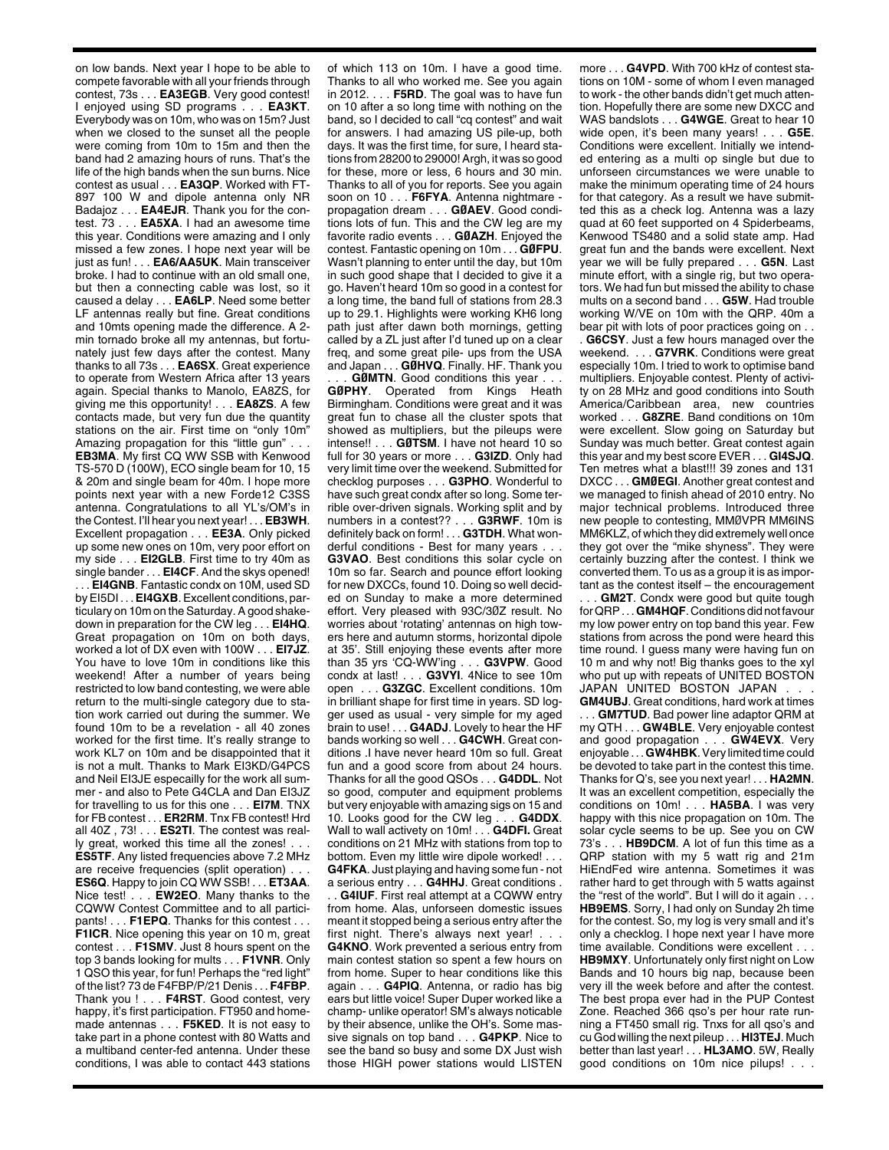on low bands. Next year I hope to be able to compete favorable with all your friends through contest, 73s . . . **EA3EGB**. Very good contest! I enjoyed using SD programs . . . **EA3KT**. Everybody was on 10m, who was on 15m? Just when we closed to the sunset all the people were coming from 10m to 15m and then the band had 2 amazing hours of runs. That's the life of the high bands when the sun burns. Nice contest as usual . . . **EA3QP**. Worked with FT-897 100 W and dipole antenna only NR Badajoz . . . **EA4EJR**. Thank you for the contest. 73 . . . **EA5XA**. I had an awesome time this year. Conditions were amazing and I only missed a few zones. I hope next year will be just as fun! . . . **EA6/AA5UK**. Main transceiver broke. I had to continue with an old small one, but then a connecting cable was lost, so it caused a delay . . . **EA6LP**. Need some better LF antennas really but fine. Great conditions and 10mts opening made the difference. A 2 min tornado broke all my antennas, but fortunately just few days after the contest. Many thanks to all 73s . . . **EA6SX**. Great experience to operate from Western Africa after 13 years again. Special thanks to Manolo, EA8ZS, for giving me this opportunity! . . . **EA8ZS**. A few contacts made, but very fun due the quantity stations on the air. First time on "only 10m" Amazing propagation for this "little gun" . .

**EB3MA**. My first CQ WW SSB with Kenwood TS-570 D (100W), ECO single beam for 10, 15 & 20m and single beam for 40m. I hope more points next year with a new Forde12 C3SS antenna. Congratulations to all YL's/OM's in the Contest. I'll hear you next year! . . . **EB3WH**. Excellent propagation . . . **EE3A**. Only picked up some new ones on 10m, very poor effort on my side . . . **EI2GLB**. First time to try 40m as single bander . . . **EI4CF**. And the skys opened!

. . . **EI4GNB**. Fantastic condx on 10M, used SD by EI5DI . . . **EI4GXB**. Excellent conditions, particulary on 10m on the Saturday. A good shakedown in preparation for the CW leg . . . **EI4HQ**. Great propagation on 10m on both days, worked a lot of DX even with 100W . . . **EI7JZ**. You have to love 10m in conditions like this weekend! After a number of years being restricted to low band contesting, we were able return to the multi-single category due to station work carried out during the summer. We found 10m to be a revelation - all 40 zones worked for the first time. It's really strange to work KL7 on 10m and be disappointed that it is not a mult. Thanks to Mark EI3KD/G4PCS and Neil EI3JE especailly for the work all summer - and also to Pete G4CLA and Dan EI3JZ for travelling to us for this one . . . **EI7M**. TNX for FB contest . . . **ER2RM**. Tnx FB contest! Hrd all 40Z , 73! . . . **ES2TI**. The contest was really great, worked this time all the zones! . . . **ES5TF**. Any listed frequencies above 7.2 MHz are receive frequencies (split operation). **ES6Q**. Happy to join CQ WW SSB! . . . **ET3AA**. Nice test! . . . **EW2EO**. Many thanks to the CQWW Contest Committee and to all participants! . . . **F1EPQ**. Thanks for this contest . . . **F1ICR**. Nice opening this year on 10 m, great contest . . . **F1SMV**. Just 8 hours spent on the top 3 bands looking for mults . . . **F1VNR**. Only 1 QSO this year, for fun! Perhaps the "red light" of the list? 73 de F4FBP/P/21 Denis . . . **F4FBP**. Thank you ! . . . **F4RST**. Good contest, very happy, it's first participation. FT950 and homemade antennas . . . **F5KED**. It is not easy to take part in a phone contest with 80 Watts and a multiband center-fed antenna. Under these conditions, I was able to contact 443 stations

of which 113 on 10m. I have a good time. Thanks to all who worked me. See you again in 2012. . . . **F5RD**. The goal was to have fun on 10 after a so long time with nothing on the band, so I decided to call "cq contest" and wait for answers. I had amazing US pile-up, both days. It was the first time, for sure, I heard stations from 28200 to 29000! Argh, it was so good for these, more or less, 6 hours and 30 min. Thanks to all of you for reports. See you again soon on 10 . . . **F6FYA**. Antenna nightmare propagation dream . . . **GØAEV**. Good conditions lots of fun. This and the CW leg are my favorite radio events . . . **GØAZH**. Enjoyed the contest. Fantastic opening on 10m . . . **GØFPU**. Wasn't planning to enter until the day, but 10m in such good shape that I decided to give it a go. Haven't heard 10m so good in a contest for a long time, the band full of stations from 28.3 up to 29.1. Highlights were working KH6 long path just after dawn both mornings, getting called by a ZL just after I'd tuned up on a clear freq, and some great pile- ups from the USA and Japan . . . **GØHVQ**. Finally. HF. Thank you

. . . **GØMTN**. Good conditions this year . . . **GØPHY**. Operated from Kings Heath Birmingham. Conditions were great and it was great fun to chase all the cluster spots that showed as multipliers, but the pileups were intense!! . . . **GØTSM**. I have not heard 10 so full for 30 years or more . . . **G3IZD**. Only had very limit time over the weekend. Submitted for checklog purposes . . . **G3PHO**. Wonderful to have such great condx after so long. Some terrible over-driven signals. Working split and by numbers in a contest?? . . . **G3RWF**. 10m is definitely back on form! . . . **G3TDH**. What wonderful conditions - Best for many years . . . **G3VAO**. Best conditions this solar cycle on 10m so far. Search and pounce effort looking for new DXCCs, found 10. Doing so well decided on Sunday to make a more determined effort. Very pleased with 93C/3ØZ result. No worries about 'rotating' antennas on high towers here and autumn storms, horizontal dipole at 35'. Still enjoying these events after more than 35 yrs 'CQ-WW'ing . . . **G3VPW**. Good condx at last! . . . **G3VYI**. 4Nice to see 10m open . . . **G3ZGC**. Excellent conditions. 10m in brilliant shape for first time in years. SD logger used as usual - very simple for my aged brain to use! . . . **G4ADJ**. Lovely to hear the HF bands working so well . . . **G4CWH**. Great conditions .I have never heard 10m so full. Great fun and a good score from about 24 hours. Thanks for all the good QSOs . . . **G4DDL**. Not so good, computer and equipment problems but very enjoyable with amazing sigs on 15 and 10. Looks good for the CW leg . . . **G4DDX**. Wall to wall activety on 10m! . . . **G4DFI.** Great conditions on 21 MHz with stations from top to bottom. Even my little wire dipole worked! . . . **G4FKA**. Just playing and having some fun - not a serious entry . . . **G4HHJ**. Great conditions . . . **G4IUF**. First real attempt at a CQWW entry from home. Alas, unforseen domestic issues meant it stopped being a serious entry after the first night. There's always next year! . . . **G4KNO**. Work prevented a serious entry from main contest station so spent a few hours on from home. Super to hear conditions like this again . . . **G4PIQ**. Antenna, or radio has big ears but little voice! Super Duper worked like a champ- unlike operator! SM's always noticable by their absence, unlike the OH's. Some massive signals on top band . . . **G4PKP**. Nice to see the band so busy and some DX Just wish those HIGH power stations would LISTEN

more . . . **G4VPD**. With 700 kHz of contest stations on 10M - some of whom I even managed to work - the other bands didn't get much attention. Hopefully there are some new DXCC and WAS bandslots . . . **G4WGE**. Great to hear 10 wide open, it's been many years! . . . **G5E**. Conditions were excellent. Initially we intended entering as a multi op single but due to unforseen circumstances we were unable to make the minimum operating time of 24 hours for that category. As a result we have submitted this as a check log. Antenna was a lazy quad at 60 feet supported on 4 Spiderbeams, Kenwood TS480 and a solid state amp. Had great fun and the bands were excellent. Next year we will be fully prepared . . . **G5N**. Last minute effort, with a single rig, but two operators. We had fun but missed the ability to chase mults on a second band . . . **G5W**. Had trouble working W/VE on 10m with the QRP. 40m a bear pit with lots of poor practices going on . . . **G6CSY**. Just a few hours managed over the weekend. . . . **G7VRK**. Conditions were great especially 10m. I tried to work to optimise band multipliers. Enjoyable contest. Plenty of activity on 28 MHz and good conditions into South America/Caribbean area, new countries worked . . . **G8ZRE**. Band conditions on 10m were excellent. Slow going on Saturday but Sunday was much better. Great contest again this year and my best score EVER . . . **GI4SJQ**. Ten metres what a blast!!! 39 zones and 131 DXCC . . . **GMØEGI**. Another great contest and we managed to finish ahead of 2010 entry. No major technical problems. Introduced three new people to contesting, MMØVPR MM6INS MM6KLZ, of which they did extremely well once they got over the "mike shyness". They were certainly buzzing after the contest. I think we converted them. To us as a group it is as important as the contest itself – the encouragement . . . **GM2T**. Condx were good but quite tough for QRP . . . **GM4HQF**. Conditions did not favour my low power entry on top band this year. Few stations from across the pond were heard this time round. I guess many were having fun on 10 m and why not! Big thanks goes to the xyl who put up with repeats of UNITED BOSTON JAPAN UNITED BOSTON JAPAN . . .

**GM4UBJ**. Great conditions, hard work at times . . . **GM7TUD**. Bad power line adaptor QRM at my QTH . . . **GW4BLE**. Very enjoyable contest and good propagation . . . **GW4EVX**. Very enjoyable . . . GW4HBK. Very limited time could be devoted to take part in the contest this time. Thanks for Q's, see you next year! . . . **HA2MN**. It was an excellent competition, especially the conditions on 10m! . . . **HA5BA**. I was very happy with this nice propagation on 10m. The solar cycle seems to be up. See you on CW 73's . . . **HB9DCM**. A lot of fun this time as a QRP station with my 5 watt rig and 21m HiEndFed wire antenna. Sometimes it was rather hard to get through with 5 watts against the "rest of the world". But I will do it again . . . **HB9EMS**. Sorry, I had only on Sunday 2h time for the contest. So, my log is very small and it's only a checklog. I hope next year I have more time available. Conditions were excellent . . . **HB9MXY**. Unfortunately only first night on Low Bands and 10 hours big nap, because been very ill the week before and after the contest. The best propa ever had in the PUP Contest Zone. Reached 366 qso's per hour rate running a FT450 small rig. Tnxs for all qso's and cu God willing the next pileup . . . **HI3TEJ**. Much better than last year! . . . **HL3AMO**. 5W, Really good conditions on 10m nice pilups! . . .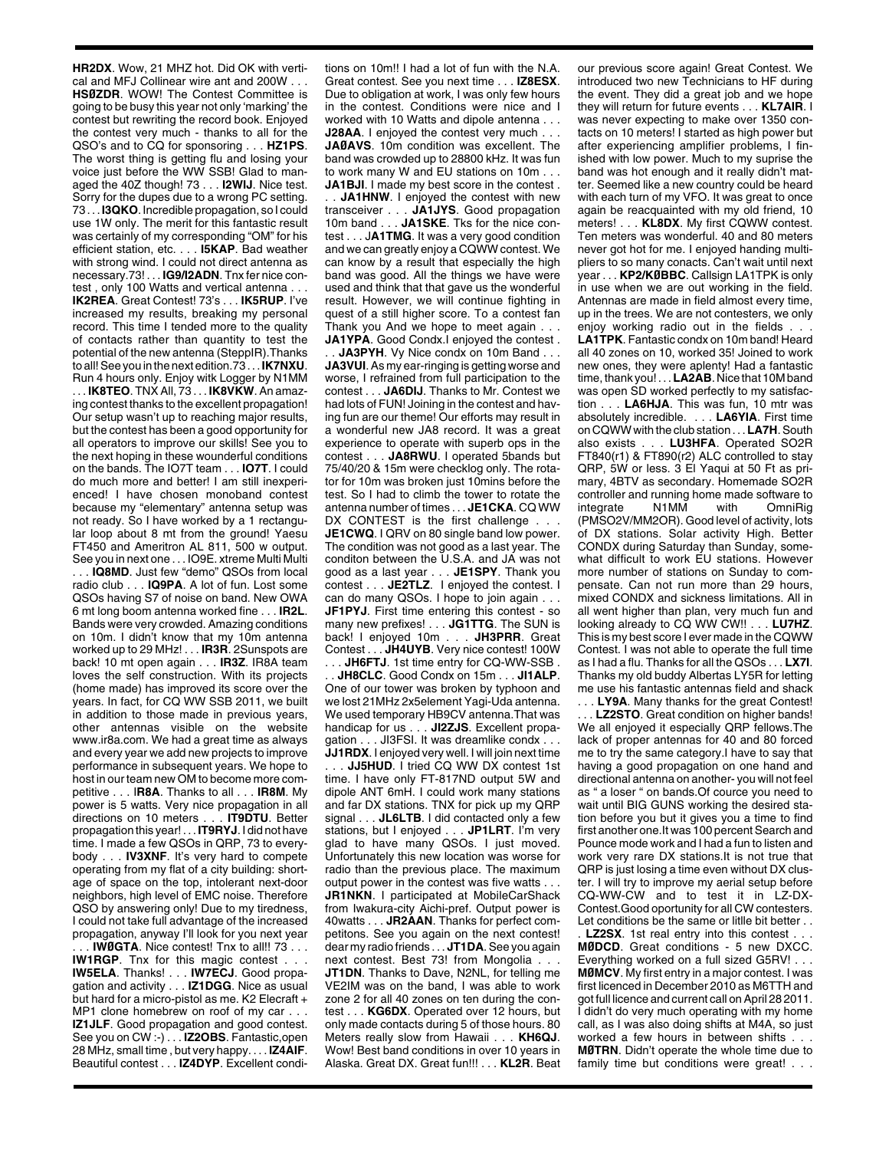**HR2DX**. Wow, 21 MHZ hot. Did OK with vertical and MFJ Collinear wire ant and 200W . . . **HSØZDR**. WOW! The Contest Committee is going to be busy this year not only 'marking' the contest but rewriting the record book. Enjoyed the contest very much - thanks to all for the QSO's and to CQ for sponsoring . . . **HZ1PS**. The worst thing is getting flu and losing your voice just before the WW SSB! Glad to managed the 40Z though! 73 . . . **I2WIJ**. Nice test. Sorry for the dupes due to a wrong PC setting. 73 . . . **I3QKO**. Incredible propagation, so I could use 1W only. The merit for this fantastic result was certainly of my corresponding "OM" for his efficient station, etc. . . . **I5KAP**. Bad weather with strong wind. I could not direct antenna as necessary.73! . . . **IG9/I2ADN**. Tnx fer nice contest , only 100 Watts and vertical antenna . . . **IK2REA**. Great Contest! 73's . . . **IK5RUP**. I've increased my results, breaking my personal record. This time I tended more to the quality of contacts rather than quantity to test the potential of the new antenna (SteppIR).Thanks to all! See you in the next edition.73 . . . **IK7NXU**. Run 4 hours only. Enjoy witk Logger by N1MM . . . **IK8TEO**. TNX All, 73 . . . **IK8VKW**. An amazing contest thanks to the excellent propagation! Our setup wasn't up to reaching major results, but the contest has been a good opportunity for all operators to improve our skills! See you to the next hoping in these wounderful conditions on the bands. The IO7T team . . . **IO7T**. I could do much more and better! I am still inexperienced! I have chosen monoband contest because my "elementary" antenna setup was not ready. So I have worked by a 1 rectangular loop about 8 mt from the ground! Yaesu FT450 and Ameritron AL 811, 500 w output. See you in next one . . . IO9E. xtreme Multi Multi . . . **IQ8MD**. Just few "demo" QSOs from local radio club . . . **IQ9PA**. A lot of fun. Lost some QSOs having S7 of noise on band. New OWA 6 mt long boom antenna worked fine . . . **IR2L**. Bands were very crowded. Amazing conditions on 10m. I didn't know that my 10m antenna worked up to 29 MHz! . . . **IR3R**. 2Sunspots are back! 10 mt open again . . . **IR3Z**. IR8A team loves the self construction. With its projects (home made) has improved its score over the years. In fact, for CQ WW SSB 2011, we built in addition to those made in previous years, other antennas visible on the website www.ir8a.com. We had a great time as always and every year we add new projects to improve performance in subsequent years. We hope to host in our team new OM to become more competitive . . . I**R8A**. Thanks to all . . . **IR8M**. My power is 5 watts. Very nice propagation in all directions on 10 meters . . . **IT9DTU**. Better propagation this year! . . . **IT9RYJ**. I did not have time. I made a few QSOs in QRP, 73 to everybody . . . **IV3XNF**. It's very hard to compete operating from my flat of a city building: shortage of space on the top, intolerant next-door neighbors, high level of EMC noise. Therefore QSO by answering only! Due to my tiredness, I could not take full advantage of the increased propagation, anyway I'll look for you next year

. . . **IWØGTA**. Nice contest! Tnx to all!! 73 . . . **IW1RGP.** Tnx for this magic contest . . . **IW5ELA**. Thanks! . . . **IW7ECJ**. Good propagation and activity . . . **IZ1DGG**. Nice as usual but hard for a micro-pistol as me. K2 Elecraft + MP1 clone homebrew on roof of my car . . . **IZ1JLF**. Good propagation and good contest. See you on CW :-) . . . **IZ2OBS**. Fantastic,open 28 MHz, small time , but very happy. . . . **IZ4AIF**. Beautiful contest . . . **IZ4DYP**. Excellent conditions on 10m!! I had a lot of fun with the N.A. Great contest. See you next time . . . **IZ8ESX**. Due to obligation at work, I was only few hours in the contest. Conditions were nice and I worked with 10 Watts and dipole antenna . . . **J28AA**. I enjoyed the contest very much . . . **JAØAVS**. 10m condition was excellent. The band was crowded up to 28800 kHz. It was fun to work many W and EU stations on 10m . . . **JA1BJI.** I made my best score in the contest.

. . **JA1HNW**. I enjoyed the contest with new transceiver . . . **JA1JYS**. Good propagation 10m band . . . **JA1SKE**. Tks for the nice contest . . . J**A1TMG**. It was a very good condition and we can greatly enjoy a CQWW contest. We can know by a result that especially the high band was good. All the things we have were used and think that that gave us the wonderful result. However, we will continue fighting in quest of a still higher score. To a contest fan Thank you And we hope to meet again . . . **JA1YPA**. Good Condx.I enjoyed the contest .

. . **JA3PYH**. Vy Nice condx on 10m Band . . . **JA3VUI**. As my ear-ringing is getting worse and worse, I refrained from full participation to the contest . . . **JA6DIJ**. Thanks to Mr. Contest we had lots of FUN! Joining in the contest and having fun are our theme! Our efforts may result in a wonderful new JA8 record. It was a great experience to operate with superb ops in the contest . . . **JA8RWU**. I operated 5bands but 75/40/20 & 15m were checklog only. The rotator for 10m was broken just 10mins before the test. So I had to climb the tower to rotate the antenna number of times . . . **JE1CKA**. CQ WW DX CONTEST is the first challenge . . . **JE1CWQ**. I QRV on 80 single band low power. The condition was not good as a last year. The conditon between the U.S.A. and JA was not good as a last year . . . **JE1SPY**. Thank you contest . . . **JE2TLZ**. I enjoyed the contest. I can do many QSOs. I hope to join again . . . **JF1PYJ**. First time entering this contest - so many new prefixes! . . . **JG1TTG**. The SUN is back! I enjoyed 10m . . . **JH3PRR**. Great Contest . . . **JH4UYB**. Very nice contest! 100W . . . **JH6FTJ**. 1st time entry for CQ-WW-SSB .

. . **JH8CLC**. Good Condx on 15m . . . **JI1ALP**. One of our tower was broken by typhoon and we lost 21MHz 2x5element Yagi-Uda antenna. We used temporary HB9CV antenna.That was handicap for us . . . **JI2ZJS**. Excellent propagation . . . JI3FSI. It was dreamlike condx . . .

**JJ1RDX**. I enjoyed very well. I will join next time . . . **JJ5HUD**. I tried CQ WW DX contest 1st time. I have only FT-817ND output 5W and dipole ANT 6mH. I could work many stations and far DX stations. TNX for pick up my QRP signal . . . **JL6LTB**. I did contacted only a few stations, but I enjoyed . . . **JP1LRT**. I'm very glad to have many QSOs. I just moved. Unfortunately this new location was worse for radio than the previous place. The maximum output power in the contest was five watts . . .

**JR1NKN**. I participated at MobileCarShack from Iwakura-city Aichi-pref. Output power is 40watts . . . **JR2AAN**. Thanks for perfect competitons. See you again on the next contest! dear my radio friends . . . **JT1DA**. See you again next contest. Best 73! from Mongolia . . .

**JT1DN**. Thanks to Dave, N2NL, for telling me VE2IM was on the band, I was able to work zone 2 for all 40 zones on ten during the contest . . . **KG6DX**. Operated over 12 hours, but only made contacts during 5 of those hours. 80 Meters really slow from Hawaii . . . **KH6QJ**. Wow! Best band conditions in over 10 years in Alaska. Great DX. Great fun!!! . . . **KL2R**. Beat

our previous score again! Great Contest. We introduced two new Technicians to HF during the event. They did a great job and we hope they will return for future events . . . **KL7AIR**. I was never expecting to make over 1350 contacts on 10 meters! I started as high power but after experiencing amplifier problems, I finished with low power. Much to my suprise the band was hot enough and it really didn't matter. Seemed like a new country could be heard with each turn of my VFO. It was great to once again be reacquainted with my old friend, 10 meters! . . . **KL8DX**. My first CQWW contest. Ten meters was wonderful. 40 and 80 meters never got hot for me. I enjoyed handing multipliers to so many conacts. Can't wait until next year . . . **KP2/KØBBC**. Callsign LA1TPK is only in use when we are out working in the field. Antennas are made in field almost every time, up in the trees. We are not contesters, we only enjoy working radio out in the fields . . . **LA1TPK**. Fantastic condx on 10m band! Heard all 40 zones on 10, worked 35! Joined to work new ones, they were aplenty! Had a fantastic time, thank you! . . . **LA2AB**. Nice that 10M band was open SD worked perfectly to my satisfaction . . . **LA6HJA**. This was fun, 10 mtr was absolutely incredible. . . . **LA6YIA**. First time on CQWW with the club station . . . **LA7H**. South also exists . . . **LU3HFA**. Operated SO2R FT840(r1) & FT890(r2) ALC controlled to stay QRP, 5W or less. 3 El Yaqui at 50 Ft as primary, 4BTV as secondary. Homemade SO2R controller and running home made software to<br>integrate M1MM with OmniRig **OmniRig** (PMSO2V/MM2OR). Good level of activity, lots of DX stations. Solar activity High. Better CONDX during Saturday than Sunday, somewhat difficult to work EU stations. However more number of stations on Sunday to compensate. Can not run more than 29 hours, mixed CONDX and sickness limitations. All in all went higher than plan, very much fun and looking already to CQ WW CW!! . . . **LU7HZ**. This is my best score I ever made in the CQWW Contest. I was not able to operate the full time as I had a flu. Thanks for all the QSOs . . . **LX7I**. Thanks my old buddy Albertas LY5R for letting me use his fantastic antennas field and shack

. . . **LY9A**. Many thanks for the great Contest! .. LZ2STO. Great condition on higher bands! We all enjoyed it especially QRP fellows.The lack of proper antennas for 40 and 80 forced me to try the same category.I have to say that having a good propagation on one hand and directional antenna on another- you will not feel as " a loser " on bands.Of cource you need to wait until BIG GUNS working the desired station before you but it gives you a time to find first another one.It was 100 percent Search and Pounce mode work and I had a fun to listen and work very rare DX stations.It is not true that QRP is just losing a time even without DX cluster. I will try to improve my aerial setup before CQ-WW-CW and to test it in LZ-DX-Contest.Good oportunity for all CW contesters. Let conditions be the same or litlle bit better . .

LZ2SX. 1st real entry into this contest. **MØDCD**. Great conditions - 5 new DXCC. Everything worked on a full sized G5RV! . . . **MØMCV**. My first entry in a major contest. I was first licenced in December 2010 as M6TTH and got full licence and current call on April 28 2011. I didn't do very much operating with my home call, as I was also doing shifts at M4A, so just worked a few hours in between shifts . . . **MØTRN**. Didn't operate the whole time due to family time but conditions were great! . . .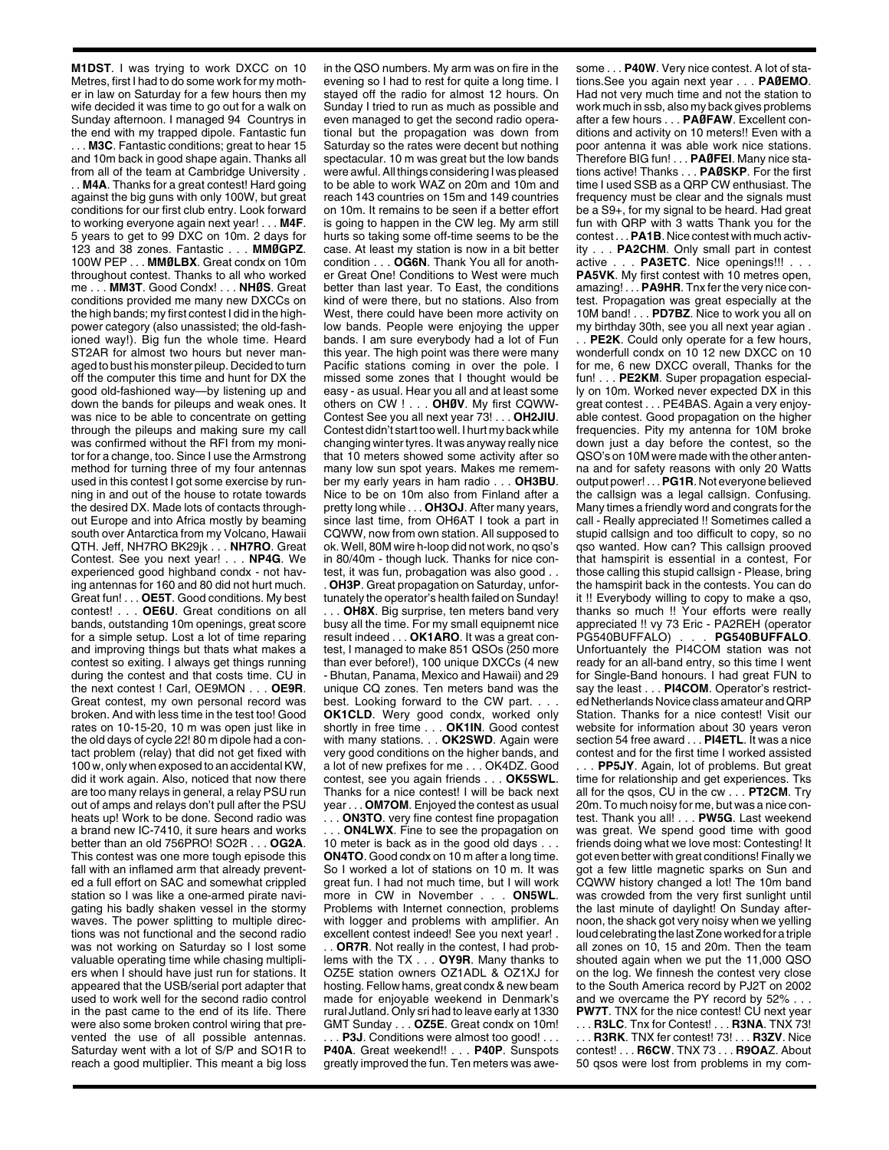**M1DST**. I was trying to work DXCC on 10 Metres, first I had to do some work for my mother in law on Saturday for a few hours then my wife decided it was time to go out for a walk on Sunday afternoon. I managed 94 Countrys in the end with my trapped dipole. Fantastic fun . . . **M3C**. Fantastic conditions; great to hear 15 and 10m back in good shape again. Thanks all from all of the team at Cambridge University . . . **M4A**. Thanks for a great contest! Hard going against the big guns with only 100W, but great conditions for our first club entry. Look forward to working everyone again next year! . . . **M4F**. 5 years to get to 99 DXC on 10m. 2 days for 123 and 38 zones. Fantastic . . . **MMØGPZ**. 100W PEP . . . **MMØLBX**. Great condx on 10m throughout contest. Thanks to all who worked me . . . **MM3T**. Good Condx! . . . **NHØS**. Great conditions provided me many new DXCCs on the high bands; my first contest I did in the highpower category (also unassisted; the old-fashioned way!). Big fun the whole time. Heard ST2AR for almost two hours but never managed to bust his monster pileup. Decided to turn off the computer this time and hunt for DX the good old-fashioned way—by listening up and down the bands for pileups and weak ones. It was nice to be able to concentrate on getting through the pileups and making sure my call was confirmed without the RFI from my monitor for a change, too. Since I use the Armstrong method for turning three of my four antennas used in this contest I got some exercise by running in and out of the house to rotate towards the desired DX. Made lots of contacts throughout Europe and into Africa mostly by beaming south over Antarctica from my Volcano, Hawaii QTH. Jeff, NH7RO BK29jk . . . **NH7RO**. Great Contest. See you next year! . . . **NP4G**. We experienced good highband condx - not having antennas for 160 and 80 did not hurt much. Great fun! . . . **OE5T**. Good conditions. My best contest! . . . **OE6U**. Great conditions on all bands, outstanding 10m openings, great score for a simple setup. Lost a lot of time reparing and improving things but thats what makes a contest so exiting. I always get things running during the contest and that costs time. CU in the next contest ! Carl, OE9MON . . . **OE9R**. Great contest, my own personal record was broken. And with less time in the test too! Good rates on 10-15-20, 10 m was open just like in the old days of cycle 22! 80 m dipole had a contact problem (relay) that did not get fixed with 100 w, only when exposed to an accidental KW, did it work again. Also, noticed that now there are too many relays in general, a relay PSU run out of amps and relays don't pull after the PSU heats up! Work to be done. Second radio was a brand new IC-7410, it sure hears and works better than an old 756PRO! SO2R . . . **OG2A**. This contest was one more tough episode this fall with an inflamed arm that already prevented a full effort on SAC and somewhat crippled station so I was like a one-armed pirate navigating his badly shaken vessel in the stormy waves. The power splitting to multiple directions was not functional and the second radio was not working on Saturday so I lost some valuable operating time while chasing multipliers when I should have just run for stations. It appeared that the USB/serial port adapter that used to work well for the second radio control in the past came to the end of its life. There were also some broken control wiring that prevented the use of all possible antennas. Saturday went with a lot of S/P and SO1R to reach a good multiplier. This meant a big loss in the QSO numbers. My arm was on fire in the evening so I had to rest for quite a long time. I stayed off the radio for almost 12 hours. On Sunday I tried to run as much as possible and even managed to get the second radio operational but the propagation was down from Saturday so the rates were decent but nothing spectacular. 10 m was great but the low bands were awful. All things considering I was pleased to be able to work WAZ on 20m and 10m and reach 143 countries on 15m and 149 countries on 10m. It remains to be seen if a better effort is going to happen in the CW leg. My arm still hurts so taking some off-time seems to be the case. At least my station is now in a bit better condition . . . **OG6N**. Thank You all for another Great One! Conditions to West were much better than last year. To East, the conditions kind of were there, but no stations. Also from West, there could have been more activity on low bands. People were enjoying the upper bands. I am sure everybody had a lot of Fun this year. The high point was there were many Pacific stations coming in over the pole. I missed some zones that I thought would be easy - as usual. Hear you all and at least some others on CW ! . . . **OHØV**. My first CQWW-Contest See you all next year 73! . . . **OH2JIU**. Contest didn't start too well. I hurt my back while changing winter tyres. It was anyway really nice that 10 meters showed some activity after so many low sun spot years. Makes me remember my early years in ham radio . . . **OH3BU**. Nice to be on 10m also from Finland after a pretty long while . . . **OH3OJ**. After many years, since last time, from OH6AT I took a part in CQWW, now from own station. All supposed to ok. Well, 80M wire h-loop did not work, no qso's in 80/40m - though luck. Thanks for nice contest, it was fun, probagation was also good . . . **OH3P**. Great propagation on Saturday, unfortunately the operator's health failed on Sunday! . . . **OH8X**. Big surprise, ten meters band very busy all the time. For my small equipnemt nice result indeed . . . **OK1ARO**. It was a great contest, I managed to make 851 QSOs (250 more than ever before!), 100 unique DXCCs (4 new - Bhutan, Panama, Mexico and Hawaii) and 29

unique CQ zones. Ten meters band was the best. Looking forward to the CW part. . . . **OK1CLD**. Wery good condx, worked only shortly in free time . . . **OK1IN**. Good contest with many stations. . . **OK2SWD**. Again were very good conditions on the higher bands, and a lot of new prefixes for me . . . OK4DZ. Good contest, see you again friends . . . **OK5SWL**. Thanks for a nice contest! I will be back next year . . . **OM7OM**. Enjoyed the contest as usual . . . **ON3TO**. very fine contest fine propagation

ON4LWX. Fine to see the propagation on 10 meter is back as in the good old days . . . **ON4TO**. Good condx on 10 m after a long time. So I worked a lot of stations on 10 m. It was great fun. I had not much time, but I will work more in CW in November . . . **ON5WL**. Problems with Internet connection, problems with logger and problems with amplifier. An excellent contest indeed! See you next year! .

. . **OR7R**. Not really in the contest, I had problems with the TX . . . **OY9R**. Many thanks to OZ5E station owners OZ1ADL & OZ1XJ for hosting. Fellow hams, great condx & new beam made for enjoyable weekend in Denmark's rural Jutland. Only sri had to leave early at 1330 GMT Sunday . . . **OZ5E**. Great condx on 10m! **P3J**. Conditions were almost too good! . . . **P40A**. Great weekend!! . . . **P40P**. Sunspots greatly improved the fun. Ten meters was awesome . . . **P40W**. Very nice contest. A lot of stations.See you again next year . . . **PAØEMO**. Had not very much time and not the station to work much in ssb, also my back gives problems after a few hours . . . **PAØFAW**. Excellent conditions and activity on 10 meters!! Even with a poor antenna it was able work nice stations. Therefore BIG fun! . . . **PAØFEI**. Many nice stations active! Thanks . . . **PAØSKP**. For the first time I used SSB as a QRP CW enthusiast. The frequency must be clear and the signals must be a S9+, for my signal to be heard. Had great fun with QRP with 3 watts Thank you for the contest . . . **PA1B**. Nice contest with much activity . . . **PA2CHM**. Only small part in contest active . . . **PA3ETC**. Nice openings!!! . . . **PA5VK**. My first contest with 10 metres open, amazing! . . . **PA9HR**. Tnx fer the very nice contest. Propagation was great especially at the 10M band! . . . **PD7BZ**. Nice to work you all on my birthday 30th, see you all next year agian .

. . **PE2K**. Could only operate for a few hours, wonderfull condx on 10 12 new DXCC on 10 for me, 6 new DXCC overall, Thanks for the fun! . . . **PE2KM**. Super propagation especially on 10m. Worked never expected DX in this great contest . . . PE4BAS. Again a very enjoyable contest. Good propagation on the higher frequencies. Pity my antenna for 10M broke down just a day before the contest, so the QSO's on 10M were made with the other antenna and for safety reasons with only 20 Watts output power! . . .**PG1R**. Not everyone believed the callsign was a legal callsign. Confusing. Many times a friendly word and congrats for the call - Really appreciated !! Sometimes called a stupid callsign and too difficult to copy, so no qso wanted. How can? This callsign prooved that hamspirit is essential in a contest, For those calling this stupid callsign - Please, bring the hamspirit back in the contests. You can do it !! Everybody willing to copy to make a qso, thanks so much !! Your efforts were really appreciated !! vy 73 Eric - PA2REH (operator PG540BUFFALO) . . . **PG540BUFFALO**. Unfortuantely the PI4COM station was not ready for an all-band entry, so this time I went for Single-Band honours. I had great FUN to say the least . . . **PI4COM**. Operator's restricted Netherlands Novice class amateur and QRP Station. Thanks for a nice contest! Visit our website for information about 30 years veron section 54 free award . . . **PI4ETL**. It was a nice contest and for the first time I worked assisted . . . **PP5JY**. Again, lot of problems. But great time for relationship and get experiences. Tks all for the qsos, CU in the cw . . . **PT2CM**. Try 20m. To much noisy for me, but was a nice contest. Thank you all! . . . **PW5G**. Last weekend was great. We spend good time with good friends doing what we love most: Contesting! It got even better with great conditions! Finally we got a few little magnetic sparks on Sun and CQWW history changed a lot! The 10m band was crowded from the very first sunlight until the last minute of daylight! On Sunday afternoon, the shack got very noisy when we yelling loud celebrating the last Zone worked for a triple all zones on 10, 15 and 20m. Then the team shouted again when we put the 11,000 QSO on the log. We finnesh the contest very close to the South America record by PJ2T on 2002 and we overcame the PY record by 52% . . . **PW7T**. TNX for the nice contest! CU next year . . . **R3LC**. Tnx for Contest! . . . **R3NA**. TNX 73!

. . . **R3RK**. TNX fer contest! 73! . . . **R3ZV**. Nice contest! . . . **R6CW**. TNX 73 . . . **R9OA**Z. About 50 qsos were lost from problems in my com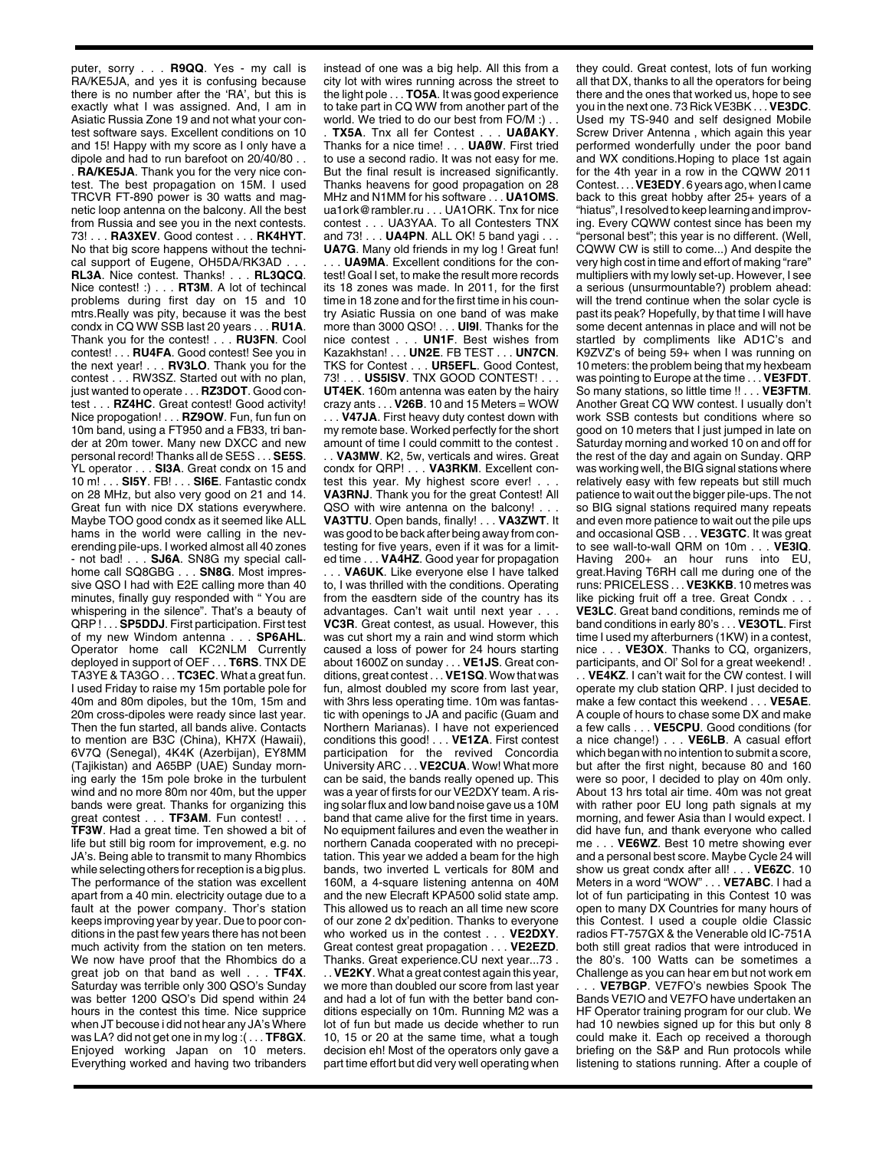puter, sorry . . . **R9QQ**. Yes - my call is RA/KE5JA, and yes it is confusing because there is no number after the 'RA', but this is exactly what I was assigned. And, I am in Asiatic Russia Zone 19 and not what your contest software says. Excellent conditions on 10 and 15! Happy with my score as I only have a dipole and had to run barefoot on 20/40/80 . . . **RA/KE5JA**. Thank you for the very nice contest. The best propagation on 15M. I used TRCVR FT-890 power is 30 watts and magnetic loop antenna on the balcony. All the best from Russia and see you in the next contests. 73! . . . **RA3XEV**. Good contest . . . **RK4HYT**. No that big score happens without the technical support of Eugene, OH5DA/RK3AD. **RL3A**. Nice contest. Thanks! . . . **RL3QCQ**. Nice contest! :) . . . **RT3M**. A lot of techincal problems during first day on 15 and 10 mtrs.Really was pity, because it was the best condx in CQ WW SSB last 20 years . . . **RU1A**. Thank you for the contest! . . . **RU3FN**. Cool contest! . . . **RU4FA**. Good contest! See you in the next year! . . . **RV3LO**. Thank you for the contest . . . RW3SZ. Started out with no plan, just wanted to operate . . . **RZ3DOT**. Good contest . . . **RZ4HC**. Great contest! Good activity! Nice propogation! . . . **RZ9OW**. Fun, fun fun on 10m band, using a FT950 and a FB33, tri bander at 20m tower. Many new DXCC and new personal record! Thanks all de SE5S . . . **SE5S**. YL operator . . . **SI3A**. Great condx on 15 and 10 m! . . . **SI5Y**. FB! . . . **SI6E**. Fantastic condx on 28 MHz, but also very good on 21 and 14. Great fun with nice DX stations everywhere. Maybe TOO good condx as it seemed like ALL hams in the world were calling in the neverending pile-ups. I worked almost all 40 zones - not bad! . . . **SJ6A**. SN8G my special callhome call SQ8GBG . . . **SN8G**. Most impressive QSO I had with E2E calling more than 40 minutes, finally guy responded with " You are whispering in the silence". That's a beauty of QRP ! . . . **SP5DDJ**. First participation. First test of my new Windom antenna . . . **SP6AHL**. of my new Windom antenna. Operator home call KC2NLM Currently deployed in support of OEF . . . **T6RS**. TNX DE TA3YE & TA3GO . . . **TC3EC**. What a great fun. I used Friday to raise my 15m portable pole for 40m and 80m dipoles, but the 10m, 15m and 20m cross-dipoles were ready since last year. Then the fun started, all bands alive. Contacts to mention are B3C (China), KH7X (Hawaii), 6V7Q (Senegal), 4K4K (Azerbijan), EY8MM (Tajikistan) and A65BP (UAE) Sunday morning early the 15m pole broke in the turbulent wind and no more 80m nor 40m, but the upper bands were great. Thanks for organizing this great contest . . . **TF3AM**. Fun contest! . . . **TF3W**. Had a great time. Ten showed a bit of life but still big room for improvement, e.g. no JA's. Being able to transmit to many Rhombics while selecting others for reception is a big plus. The performance of the station was excellent apart from a 40 min. electricity outage due to a fault at the power company. Thor's station keeps improving year by year. Due to poor conditions in the past few years there has not been much activity from the station on ten meters. We now have proof that the Rhombics do a great job on that band as well . . . **TF4X**. Saturday was terrible only 300 QSO's Sunday was better 1200 QSO's Did spend within 24 hours in the contest this time. Nice supprice when JT becouse i did not hear any JA's Where was LA? did not get one in my log :( . . . **TF8GX**. Enjoyed working Japan on 10 meters. Everything worked and having two tribanders instead of one was a big help. All this from a city lot with wires running across the street to the light pole . . . **TO5A**. It was good experience to take part in CQ WW from another part of the world. We tried to do our best from FO/M :) . .

. **TX5A**. Tnx all fer Contest . . . **UAØAKY**. Thanks for a nice time! . . . **UAØW**. First tried to use a second radio. It was not easy for me. But the final result is increased significantly. Thanks heavens for good propagation on 28 MHz and N1MM for his software . . . **UA1OMS**. ua1ork@rambler.ru . . . UA1ORK. Tnx for nice contest . . . UA3YAA. To all Contesters TNX and 73! . . . **UA4PN**. ALL OK! 5 band yagi . . .

**UA7G**. Many old friends in my log ! Great fun! . . . **UA9MA**. Excellent conditions for the contest! Goal I set, to make the result more records its 18 zones was made. In 2011, for the first time in 18 zone and for the first time in his country Asiatic Russia on one band of was make more than 3000 QSO! . . . **UI9I**. Thanks for the nice contest . . . **UN1F**. Best wishes from Kazakhstan! . . . **UN2E**. FB TEST . . . **UN7CN**. TKS for Contest . . . **UR5EFL**. Good Contest, 73! . . . **US5ISV**. TNX GOOD CONTEST! . . . **UT4EK**. 160m antenna was eaten by the hairy crazy ants . . . **V26B**. 10 and 15 Meters = WOW . . . **V47JA**. First heavy duty contest down with my remote base. Worked perfectly for the short amount of time I could committ to the contest .

. . **VA3MW**. K2, 5w, verticals and wires. Great condx for QRP! . . . **VA3RKM**. Excellent contest this year. My highest score ever! . . . **VA3RNJ**. Thank you for the great Contest! All QSO with wire antenna on the balcony! . **VA3TTU**. Open bands, finally! . . . **VA3ZWT**. It was good to be back after being away from contesting for five years, even if it was for a limited time . . . **VA4HZ**. Good year for propagation

. . . **VA6UK**. Like everyone else I have talked to, I was thrilled with the conditions. Operating from the easdtern side of the country has its advantages. Can't wait until next year . . . **VC3R**. Great contest, as usual. However, this was cut short my a rain and wind storm which caused a loss of power for 24 hours starting about 1600Z on sunday . . . **VE1JS**. Great conditions, great contest . . . **VE1SQ**. Wow that was fun, almost doubled my score from last year, with 3hrs less operating time. 10m was fantastic with openings to JA and pacific (Guam and Northern Marianas). I have not experienced conditions this good! . . . **VE1ZA**. First contest participation for the revived Concordia University ARC . . . **VE2CUA**. Wow! What more can be said, the bands really opened up. This was a year of firsts for our VE2DXY team. A rising solar flux and low band noise gave us a 10M band that came alive for the first time in years. No equipment failures and even the weather in northern Canada cooperated with no precepitation. This year we added a beam for the high bands, two inverted L verticals for 80M and 160M, a 4-square listening antenna on 40M and the new Elecraft KPA500 solid state amp. This allowed us to reach an all time new score of our zone 2 dx'pedition. Thanks to everyone who worked us in the contest . . . **VE2DXY**. Great contest great propagation . . . **VE2EZD**. Thanks. Great experience.CU next year...73 . . . **VE2KY**. What a great contest again this year, we more than doubled our score from last year

and had a lot of fun with the better band conditions especially on 10m. Running M2 was a lot of fun but made us decide whether to run 10, 15 or 20 at the same time, what a tough decision eh! Most of the operators only gave a part time effort but did very well operating when

they could. Great contest, lots of fun working all that DX, thanks to all the operators for being there and the ones that worked us, hope to see you in the next one. 73 Rick VE3BK . . . **VE3DC**. Used my TS-940 and self designed Mobile Screw Driver Antenna , which again this year performed wonderfully under the poor band and WX conditions.Hoping to place 1st again for the 4th year in a row in the CQWW 2011 Contest. . . . **VE3EDY**. 6 years ago, when I came back to this great hobby after 25+ years of a "hiatus", I resolved to keep learning and improving. Every CQWW contest since has been my "personal best"; this year is no different. (Well, CQWW CW is still to come...) And despite the very high cost in time and effort of making "rare" multipliers with my lowly set-up. However, I see a serious (unsurmountable?) problem ahead: will the trend continue when the solar cycle is past its peak? Hopefully, by that time I will have some decent antennas in place and will not be startled by compliments like AD1C's and K9ZVZ's of being 59+ when I was running on 10 meters: the problem being that my hexbeam was pointing to Europe at the time . . . **VE3FDT**. So many stations, so little time !! . . . **VE3FTM**. Another Great CQ WW contest. I usually don't work SSB contests but conditions where so good on 10 meters that I just jumped in late on Saturday morning and worked 10 on and off for the rest of the day and again on Sunday. QRP was working well, the BIG signal stations where relatively easy with few repeats but still much patience to wait out the bigger pile-ups. The not so BIG signal stations required many repeats and even more patience to wait out the pile ups and occasional QSB . . . **VE3GTC**. It was great to see wall-to-wall QRM on 10m . . . **VE3IQ**. Having 200+ an hour runs into EU, great.Having T6RH call me during one of the runs: PRICELESS . . . **VE3KKB**. 10 metres was like picking fruit off a tree. Great Condx . . . **VE3LC**. Great band conditions, reminds me of band conditions in early 80's . . . **VE3OTL**. First time I used my afterburners (1KW) in a contest, nice . . . **VE3OX**. Thanks to CQ, organizers, participants, and Ol' Sol for a great weekend! . . **VE4KZ**. I can't wait for the CW contest. I will operate my club station QRP. I just decided to make a few contact this weekend . . . **VE5AE**. A couple of hours to chase some DX and make a few calls . . . **VE5CPU**. Good conditions (for a nice change!) . . . **VE6LB**. A casual effort which began with no intention to submit a score, but after the first night, because 80 and 160 were so poor, I decided to play on 40m only. About 13 hrs total air time. 40m was not great with rather poor EU long path signals at my morning, and fewer Asia than I would expect. I did have fun, and thank everyone who called me . . . **VE6WZ**. Best 10 metre showing ever and a personal best score. Maybe Cycle 24 will show us great condx after all! . . . **VE6ZC**. 10 Meters in a word "WOW" . . . **VE7ABC**. I had a lot of fun participating in this Contest 10 was open to many DX Countries for many hours of this Contest. I used a couple oldie Classic radios FT-757GX & the Venerable old IC-751A both still great radios that were introduced in the 80's. 100 Watts can be sometimes a Challenge as you can hear em but not work em

. . . **VE7BGP**. VE7FO's newbies Spook The Bands VE7IO and VE7FO have undertaken an HF Operator training program for our club. We had 10 newbies signed up for this but only 8 could make it. Each op received a thorough briefing on the S&P and Run protocols while listening to stations running. After a couple of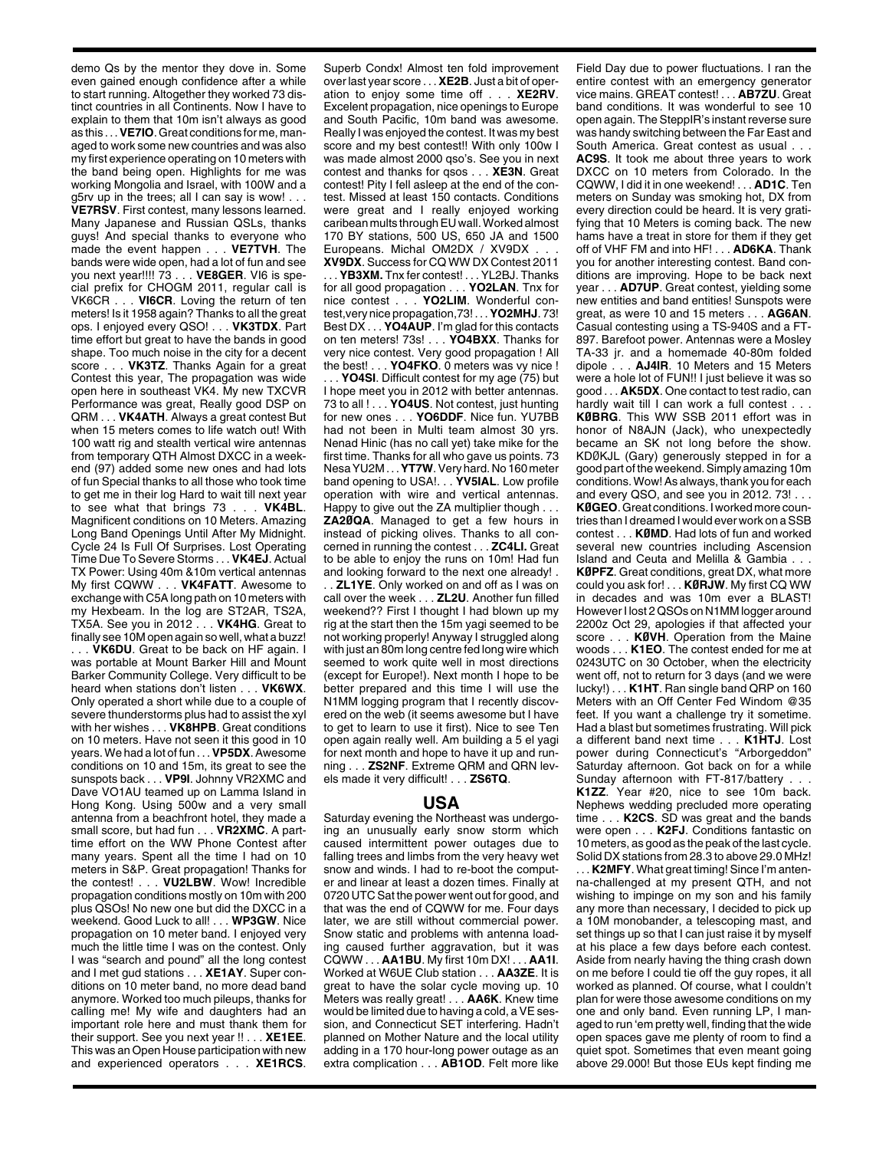demo Qs by the mentor they dove in. Some even gained enough confidence after a while to start running. Altogether they worked 73 distinct countries in all Continents. Now I have to explain to them that 10m isn't always as good as this . . . **VE7IO**. Great conditions for me, managed to work some new countries and was also my first experience operating on 10 meters with the band being open. Highlights for me was working Mongolia and Israel, with 100W and a g5rv up in the trees; all I can say is wow! . . . **VE7RSV**. First contest, many lessons learned. Many Japanese and Russian QSLs, thanks guys! And special thanks to everyone who made the event happen . . . **VE7TVH**. The bands were wide open, had a lot of fun and see you next year!!!! 73 . . . **VE8GER**. VI6 is special prefix for CHOGM 2011, regular call is VK6CR . . . **VI6CR**. Loving the return of ten meters! Is it 1958 again? Thanks to all the great ops. I enjoyed every QSO! . . . **VK3TDX**. Part time effort but great to have the bands in good shape. Too much noise in the city for a decent score . . . **VK3TZ**. Thanks Again for a great Contest this year, The propagation was wide open here in southeast VK4. My new TXCVR Performance was great, Really good DSP on QRM . . . **VK4ATH**. Always a great contest But when 15 meters comes to life watch out! With 100 watt rig and stealth vertical wire antennas from temporary QTH Almost DXCC in a weekend (97) added some new ones and had lots of fun Special thanks to all those who took time to get me in their log Hard to wait till next year to see what that brings 73 . . . **VK4BL**. Magnificent conditions on 10 Meters. Amazing Long Band Openings Until After My Midnight. Cycle 24 Is Full Of Surprises. Lost Operating Time Due To Severe Storms . . . **VK4EJ**. Actual TX Power: Using 40m &10m vertical antennas My first CQWW . . . **VK4FATT**. Awesome to exchange with C5A long path on 10 meters with my Hexbeam. In the log are ST2AR, TS2A, TX5A. See you in 2012 . . . **VK4HG**. Great to finally see 10M open again so well, what a buzz! . . . **VK6DU**. Great to be back on HF again. I was portable at Mount Barker Hill and Mount Barker Community College. Very difficult to be heard when stations don't listen . . . **VK6WX**. Only operated a short while due to a couple of severe thunderstorms plus had to assist the xyl with her wishes . . . **VK8HPB**. Great conditions on 10 meters. Have not seen it this good in 10 years. We had a lot of fun . . . **VP5DX**. Awesome conditions on 10 and 15m, its great to see the sunspots back . . . **VP9I**. Johnny VR2XMC and Dave VO1AU teamed up on Lamma Island in Hong Kong. Using 500w and a very small antenna from a beachfront hotel, they made a small score, but had fun . . . **VR2XMC**. A parttime effort on the WW Phone Contest after many years. Spent all the time I had on 10 meters in S&P. Great propagation! Thanks for the contest! . . . **VU2LBW**. Wow! Incredible propagation conditions mostly on 10m with 200 plus QSOs! No new one but did the DXCC in a weekend. Good Luck to all! . . . **WP3GW**. Nice propagation on 10 meter band. I enjoyed very much the little time I was on the contest. Only I was "search and pound" all the long contest and I met gud stations . . . **XE1AY**. Super conditions on 10 meter band, no more dead band anymore. Worked too much pileups, thanks for calling me! My wife and daughters had an important role here and must thank them for their support. See you next year !! . . . **XE1EE**. This was an Open House participation with new and experienced operators . . . **XE1RCS**.

Superb Condx! Almost ten fold improvement over last year score . . . **XE2B**. Just a bit of operation to enjoy some time off . . . **XE2RV**. Excelent propagation, nice openings to Europe and South Pacific, 10m band was awesome. Really I was enjoyed the contest. It was my best score and my best contest!! With only 100w I was made almost 2000 qso's. See you in next contest and thanks for qsos . . . **XE3N**. Great contest! Pity I fell asleep at the end of the contest. Missed at least 150 contacts. Conditions were great and I really enjoyed working caribean mults through EU wall. Worked almost 170 BY stations, 500 US, 650 JA and 1500 Europeans. Michal OM2DX / XV9DX

**XV9DX**. Success for CQ WW DX Contest 2011 . . . **YB3XM.** Tnx fer contest! . . . YL2BJ. Thanks for all good propagation . . . **YO2LAN**. Tnx for nice contest . . . **YO2LIM**. Wonderful contest,very nice propagation,73! . . . **YO2MHJ**. 73! Best DX . . . **YO4AUP**. I'm glad for this contacts on ten meters! 73s! . . . **YO4BXX**. Thanks for very nice contest. Very good propagation ! All the best! . . . **YO4FKO**. 0 meters was vy nice ! .. **YO4SI**. Difficult contest for my age (75) but I hope meet you in 2012 with better antennas. 73 to all ! . . . **YO4US**. Not contest, just hunting for new ones . . . **YO6DDF**. Nice fun. YU7BB had not been in Multi team almost 30 yrs. Nenad Hinic (has no call yet) take mike for the first time. Thanks for all who gave us points. 73 Nesa YU2M . . . **YT7W**. Very hard. No 160 meter band opening to USA!. . . **YV5IAL**. Low profile operation with wire and vertical antennas. Happy to give out the ZA multiplier though . . . **ZA2ØQA**. Managed to get a few hours in instead of picking olives. Thanks to all concerned in running the contest . . . **ZC4LI.** Great to be able to enjoy the runs on 10m! Had fun and looking forward to the next one already! .

. . **ZL1YE**. Only worked on and off as I was on call over the week . . . **ZL2U**. Another fun filled weekend?? First I thought I had blown up my rig at the start then the 15m yagi seemed to be not working properly! Anyway I struggled along with just an 80m long centre fed long wire which seemed to work quite well in most directions (except for Europe!). Next month I hope to be better prepared and this time I will use the N1MM logging program that I recently discovered on the web (it seems awesome but I have to get to learn to use it first). Nice to see Ten open again really well. Am building a 5 el yagi for next month and hope to have it up and running . . . **ZS2NF**. Extreme QRM and QRN levels made it very difficult! . . . **ZS6TQ**.

## **USA**

Saturday evening the Northeast was undergoing an unusually early snow storm which caused intermittent power outages due to falling trees and limbs from the very heavy wet snow and winds. I had to re-boot the computer and linear at least a dozen times. Finally at 0720 UTC Sat the power went out for good, and that was the end of CQWW for me. Four days later, we are still without commercial power. Snow static and problems with antenna loading caused further aggravation, but it was CQWW . . . **AA1BU**. My first 10m DX! . . . **AA1I**. Worked at W6UE Club station . . . **AA3ZE**. It is great to have the solar cycle moving up. 10 Meters was really great! . . . **AA6K**. Knew time would be limited due to having a cold, a VE session, and Connecticut SET interfering. Hadn't planned on Mother Nature and the local utility adding in a 170 hour-long power outage as an extra complication . . . **AB1OD**. Felt more like

Field Day due to power fluctuations. I ran the entire contest with an emergency generator vice mains. GREAT contest! . . . **AB7ZU**. Great band conditions. It was wonderful to see 10 open again. The SteppIR's instant reverse sure was handy switching between the Far East and South America. Great contest as usual ... **AC9S**. It took me about three years to work DXCC on 10 meters from Colorado. In the CQWW, I did it in one weekend! . . . **AD1C**. Ten meters on Sunday was smoking hot, DX from every direction could be heard. It is very gratifying that 10 Meters is coming back. The new hams have a treat in store for them if they get off of VHF FM and into HF! . . . **AD6KA**. Thank you for another interesting contest. Band conditions are improving. Hope to be back next year . . . **AD7UP**. Great contest, yielding some new entities and band entities! Sunspots were great, as were 10 and 15 meters . . . **AG6AN**. Casual contesting using a TS-940S and a FT-897. Barefoot power. Antennas were a Mosley TA-33 jr. and a homemade 40-80m folded dipole . . . **AJ4IR**. 10 Meters and 15 Meters were a hole lot of FUN!! I just believe it was so good . . . **AK5DX**. One contact to test radio, can hardly wait till I can work a full contest . . . **KØBRG**. This WW SSB 2011 effort was in honor of N8AJN (Jack), who unexpectedly became an SK not long before the show. KDØKJL (Gary) generously stepped in for a good part of the weekend. Simply amazing 10m conditions. Wow! As always, thank you for each and every QSO, and see you in 2012. 73! . . . **KØGEO**. Great conditions. I worked more countries than I dreamed I would ever work on a SSB contest . . . **KØMD**. Had lots of fun and worked several new countries including Ascension Island and Ceuta and Melilla & Gambia . . . **KØPFZ**. Great conditions, great DX, what more could you ask for! . . . **KØRJW**. My first CQ WW in decades and was 10m ever a BLAST! However I lost 2 QSOs on N1MM logger around 2200z Oct 29, apologies if that affected your score . . . **KØVH**. Operation from the Maine woods . . . **K1EO**. The contest ended for me at 0243UTC on 30 October, when the electricity went off, not to return for 3 days (and we were lucky!) . . . **K1HT**. Ran single band QRP on 160 Meters with an Off Center Fed Windom @35 feet. If you want a challenge try it sometime. Had a blast but sometimes frustrating. Will pick a different band next time . . . **K1HTJ**. Lost power during Connecticut's "Arborgeddon" Saturday afternoon. Got back on for a while Sunday afternoon with FT-817/battery . . . **K1ZZ**. Year #20, nice to see 10m back. Nephews wedding precluded more operating time . . . **K2CS**. SD was great and the bands were open . . . **K2FJ**. Conditions fantastic on 10 meters, as good as the peak of the last cycle. Solid DX stations from 28.3 to above 29.0 MHz! . . . **K2MFY**. What great timing! Since I'm antenna-challenged at my present QTH, and not wishing to impinge on my son and his family any more than necessary, I decided to pick up a 10M monobander, a telescoping mast, and set things up so that I can just raise it by myself at his place a few days before each contest. Aside from nearly having the thing crash down on me before I could tie off the guy ropes, it all worked as planned. Of course, what I couldn't plan for were those awesome conditions on my one and only band. Even running LP, I managed to run 'em pretty well, finding that the wide open spaces gave me plenty of room to find a quiet spot. Sometimes that even meant going above 29.000! But those EUs kept finding me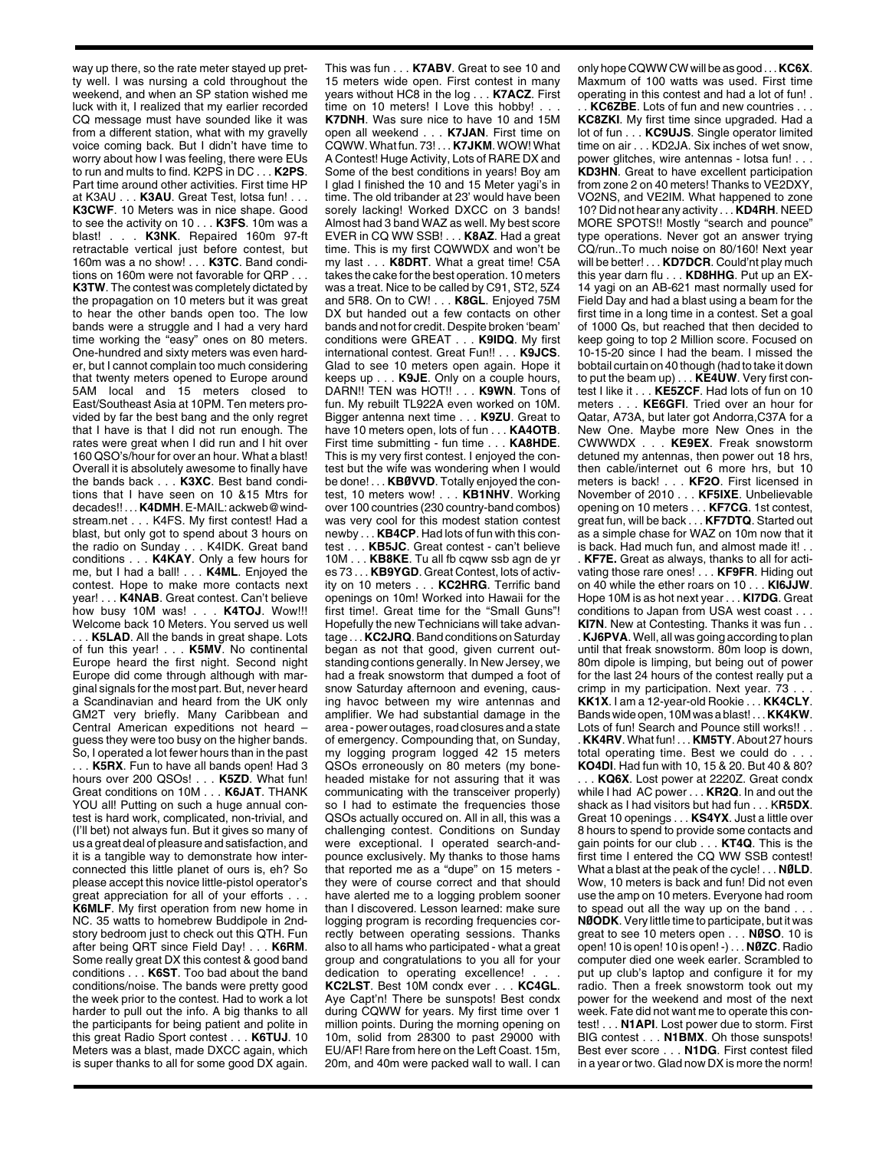way up there, so the rate meter stayed up pretty well. I was nursing a cold throughout the weekend, and when an SP station wished me luck with it, I realized that my earlier recorded CQ message must have sounded like it was from a different station, what with my gravelly voice coming back. But I didn't have time to worry about how I was feeling, there were EUs to run and mults to find. K2PS in DC . . . **K2PS**. Part time around other activities. First time HP at K3AU . . . **K3AU**. Great Test, lotsa fun! . . . **K3CWF**. 10 Meters was in nice shape. Good to see the activity on 10 . . . **K3FS**. 10m was a blast! . . . **K3NK**. Repaired 160m 97-ft retractable vertical just before contest, but 160m was a no show! . . . **K3TC**. Band conditions on 160m were not favorable for QRP . . . **K3TW**. The contest was completely dictated by the propagation on 10 meters but it was great to hear the other bands open too. The low bands were a struggle and I had a very hard time working the "easy" ones on 80 meters. One-hundred and sixty meters was even harder, but I cannot complain too much considering that twenty meters opened to Europe around 5AM local and 15 meters closed to East/Southeast Asia at 10PM. Ten meters provided by far the best bang and the only regret that I have is that I did not run enough. The rates were great when I did run and I hit over 160 QSO's/hour for over an hour. What a blast! Overall it is absolutely awesome to finally have the bands back . . . **K3XC**. Best band conditions that I have seen on 10 &15 Mtrs for decades!! . . . **K4DMH**. E-MAIL: ackweb@windstream.net . . . K4FS. My first contest! Had a blast, but only got to spend about 3 hours on<br>the radio on Sunday . . . K4IDK. Great band the radio on Sunday. conditions . . . **K4KAY**. Only a few hours for me, but I had a ball! . . . **K4ML**. Enjoyed the contest. Hope to make more contacts next year! . . . **K4NAB**. Great contest. Can't believe how busy 10M was! . . . **K4TOJ**. Wow!!! Welcome back 10 Meters. You served us well K5LAD. All the bands in great shape. Lots of fun this year! . . . **K5MV**. No continental Europe heard the first night. Second night Europe did come through although with marginal signals for the most part. But, never heard a Scandinavian and heard from the UK only GM2T very briefly. Many Caribbean and Central American expeditions not heard – guess they were too busy on the higher bands. So, I operated a lot fewer hours than in the past . . . **K5RX**. Fun to have all bands open! Had 3 hours over 200 QSOs! . . . **K5ZD**. What fun! Great conditions on 10M . . . **K6JAT**. THANK YOU all! Putting on such a huge annual contest is hard work, complicated, non-trivial, and (I'll bet) not always fun. But it gives so many of us a great deal of pleasure and satisfaction, and it is a tangible way to demonstrate how interconnected this little planet of ours is, eh? So please accept this novice little-pistol operator's great appreciation for all of your efforts. **K6MLF**. My first operation from new home in NC. 35 watts to homebrew Buddipole in 2ndstory bedroom just to check out this QTH. Fun after being QRT since Field Day! . . . **K6RM**. Some really great DX this contest & good band conditions . . . **K6ST**. Too bad about the band conditions/noise. The bands were pretty good the week prior to the contest. Had to work a lot harder to pull out the info. A big thanks to all the participants for being patient and polite in this great Radio Sport contest . . . **K6TUJ**. 10 Meters was a blast, made DXCC again, which is super thanks to all for some good DX again. This was fun . . . **K7ABV**. Great to see 10 and 15 meters wide open. First contest in many years without HC8 in the log . . . **K7ACZ**. First time on 10 meters! I Love this hobby! . . **K7DNH**. Was sure nice to have 10 and 15M open all weekend . . . **K7JAN**. First time on CQWW. What fun. 73! . . . **K7JKM**. WOW! What A Contest! Huge Activity, Lots of RARE DX and Some of the best conditions in years! Boy am I glad I finished the 10 and 15 Meter yagi's in time. The old tribander at 23' would have been sorely lacking! Worked DXCC on 3 bands! Almost had 3 band WAZ as well. My best score EVER in CQ WW SSB! . . . **K8AZ**. Had a great time. This is my first CQWWDX and won't be my last . . . **K8DRT**. What a great time! C5A takes the cake for the best operation. 10 meters was a treat. Nice to be called by C91, ST2, 5Z4 and 5R8. On to CW! . . . **K8GL**. Enjoyed 75M DX but handed out a few contacts on other bands and not for credit. Despite broken 'beam' conditions were GREAT . . . **K9IDQ**. My first international contest. Great Fun!! . . . **K9JCS**. Glad to see 10 meters open again. Hope it keeps up . . . **K9JE**. Only on a couple hours, DARN!! TEN was HOT!! . . . **K9WN**. Tons of fun. My rebuilt TL922A even worked on 10M. Bigger antenna next time . . . **K9ZU**. Great to have 10 meters open, lots of fun . . . **KA4OTB**. First time submitting - fun time . . . **KA8HDE**. This is my very first contest. I enjoyed the contest but the wife was wondering when I would be done! . . . **KBØVVD**. Totally enjoyed the contest, 10 meters wow! . . . **KB1NHV**. Working over 100 countries (230 country-band combos) was very cool for this modest station contest newby . . . **KB4CP**. Had lots of fun with this contest . . . **KB5JC**. Great contest - can't believe 10M . . . **KB8KE**. Tu all fb cqww ssb agn de yr es 73 . . . **KB9YGD**. Great Contest, lots of activity on 10 meters . . . **KC2HRG**. Terrific band openings on 10m! Worked into Hawaii for the first time!. Great time for the "Small Guns"! Hopefully the new Technicians will take advantage . . . **KC2JRQ**. Band conditions on Saturday began as not that good, given current outstanding contions generally. In New Jersey, we had a freak snowstorm that dumped a foot of snow Saturday afternoon and evening, causing havoc between my wire antennas and amplifier. We had substantial damage in the area - power outages, road closures and a state of emergency. Compounding that, on Sunday, my logging program logged 42 15 meters QSOs erroneously on 80 meters (my boneheaded mistake for not assuring that it was communicating with the transceiver properly) so I had to estimate the frequencies those QSOs actually occured on. All in all, this was a challenging contest. Conditions on Sunday were exceptional. I operated search-andpounce exclusively. My thanks to those hams that reported me as a "dupe" on 15 meters they were of course correct and that should have alerted me to a logging problem sooner than I discovered. Lesson learned: make sure logging program is recording frequencies correctly between operating sessions. Thanks also to all hams who participated - what a great group and congratulations to you all for your dedication to operating excellence! **KC2LST**. Best 10M condx ever . . . **KC4GL**. Aye Capt'n! There be sunspots! Best condx during CQWW for years. My first time over 1 million points. During the morning opening on 10m, solid from 28300 to past 29000 with EU/AF! Rare from here on the Left Coast. 15m, 20m, and 40m were packed wall to wall. I can

only hope CQWW CW will be as good . . . **KC6X**. Maxmum of 100 watts was used. First time operating in this contest and had a lot of fun! . . . **KC6ZBE**. Lots of fun and new countries . . . **KC8ZKI**. My first time since upgraded. Had a lot of fun . . . **KC9UJS**. Single operator limited time on air . . . KD2JA. Six inches of wet snow, power glitches, wire antennas - lotsa fun! . . . **KD3HN**. Great to have excellent participation from zone 2 on 40 meters! Thanks to VE2DXY, VO2NS, and VE2IM. What happened to zone 10? Did not hear any activity . . . **KD4RH**. NEED MORE SPOTS!! Mostly "search and pounce" type operations. Never got an answer trying CQ/run..To much noise on 80/160! Next year will be better! . . . **KD7DCR**. Could'nt play much this year darn flu . . . **KD8HHG**. Put up an EX-14 yagi on an AB-621 mast normally used for Field Day and had a blast using a beam for the first time in a long time in a contest. Set a goal of 1000 Qs, but reached that then decided to keep going to top 2 Million score. Focused on 10-15-20 since I had the beam. I missed the bobtail curtain on 40 though (had to take it down to put the beam up) . . . **KE4UW**. Very first contest I like it . . . **KE5ZCF**. Had lots of fun on 10 meters . . . **KE6GFI**. Tried over an hour for Qatar, A73A, but later got Andorra,C37A for a New One. Maybe more New Ones in the CWWWDX . . . **KE9EX**. Freak snowstorm detuned my antennas, then power out 18 hrs, then cable/internet out 6 more hrs, but 10 meters is back! . . . **KF2O**. First licensed in November of 2010 . . . **KF5IXE**. Unbelievable opening on 10 meters . . . **KF7CG**. 1st contest, great fun, will be back . . . **KF7DTQ**. Started out as a simple chase for WAZ on 10m now that it is back. Had much fun, and almost made it! . . . **KF7E.** Great as always, thanks to all for acti-

vating those rare ones! . . . **KF9FR**. Hiding out on 40 while the ether roars on 10 . . . **KI6JJW**. Hope 10M is as hot next year . . . **KI7DG**. Great conditions to Japan from USA west coast . . . **KI7N**. New at Contesting. Thanks it was fun . . . **KJ6PVA**. Well, all was going according to plan until that freak snowstorm. 80m loop is down, 80m dipole is limping, but being out of power for the last 24 hours of the contest really put a crimp in my participation. Next year. 73. **KK1X**. I am a 12-year-old Rookie . . . **KK4CLY**. Bands wide open, 10M was a blast! . . . **KK4KW**. Lots of fun! Search and Pounce still works!! . . . **KK4RV**. What fun! . . . **KM5TY**. About 27 hours total operating time. Best we could do.

**KO4DI**. Had fun with 10, 15 & 20. But 40 & 80? . . . **KQ6X**. Lost power at 2220Z. Great condx while I had AC power . . . **KR2Q**. In and out the shack as I had visitors but had fun . . . K**R5DX**. Great 10 openings . . . **KS4YX**. Just a little over 8 hours to spend to provide some contacts and gain points for our club . . . **KT4Q**. This is the first time I entered the CQ WW SSB contest! What a blast at the peak of the cycle! . . . **NØLD**. Wow, 10 meters is back and fun! Did not even use the amp on 10 meters. Everyone had room to spead out all the way up on the band . . . **NØODK**. Very little time to participate, but it was great to see 10 meters open . . . **NØSO**. 10 is open! 10 is open! 10 is open! -) . . . **NØZC**. Radio computer died one week earler. Scrambled to put up club's laptop and configure it for my radio. Then a freek snowstorm took out my power for the weekend and most of the next week. Fate did not want me to operate this contest! . . . **N1API**. Lost power due to storm. First BIG contest . . . **N1BMX**. Oh those sunspots! Best ever score . . . **N1DG**. First contest filed in a year or two. Glad now DX is more the norm!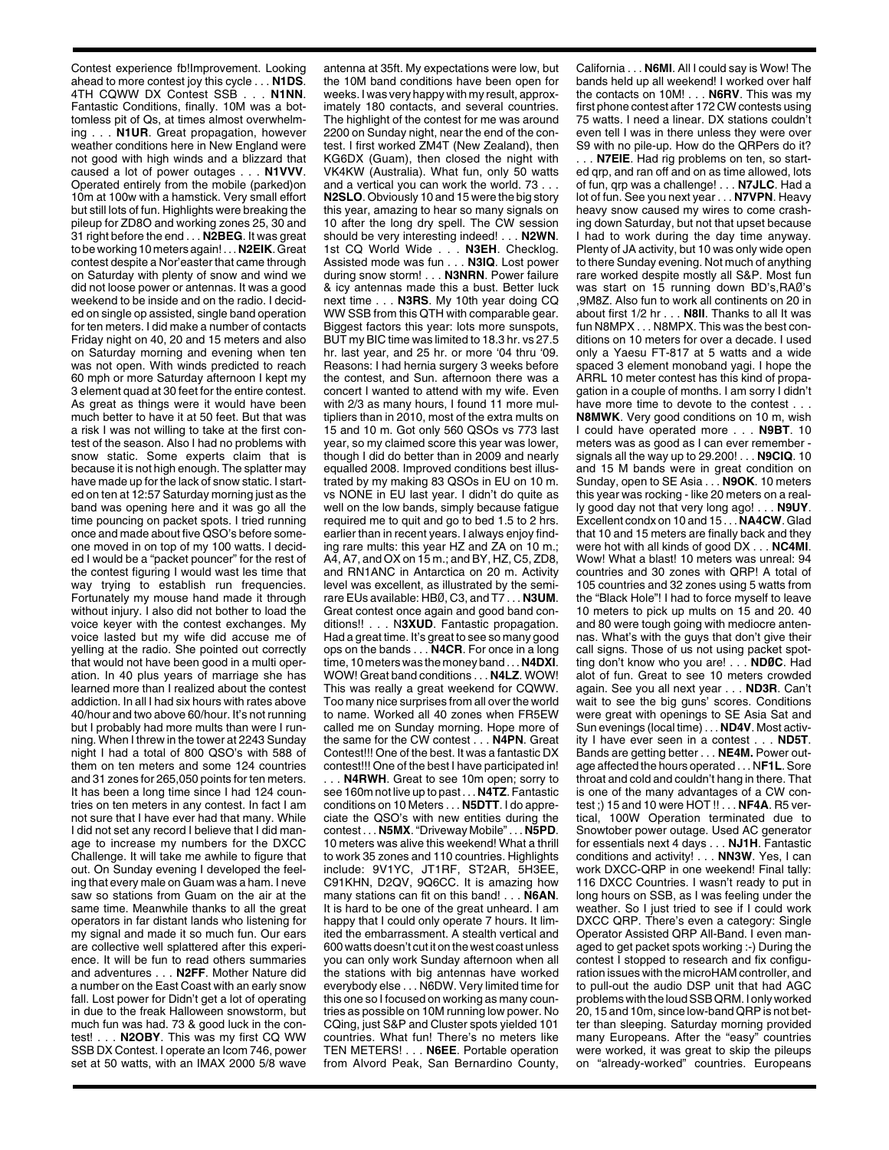Contest experience fb!Improvement. Looking ahead to more contest joy this cycle . . . **N1DS**. 4TH CQWW DX Contest SSB . . . **N1NN**. Fantastic Conditions, finally. 10M was a bottomless pit of Qs, at times almost overwhelming . . . **N1UR**. Great propagation, however weather conditions here in New England were not good with high winds and a blizzard that caused a lot of power outages . . . **N1VVV**. Operated entirely from the mobile (parked)on 10m at 100w with a hamstick. Very small effort but still lots of fun. Highlights were breaking the pileup for ZD8O and working zones 25, 30 and 31 right before the end . . . **N2BEG**. It was great to be working 10 meters again! . . . **N2EIK**. Great contest despite a Nor'easter that came through on Saturday with plenty of snow and wind we did not loose power or antennas. It was a good weekend to be inside and on the radio. I decided on single op assisted, single band operation for ten meters. I did make a number of contacts Friday night on 40, 20 and 15 meters and also on Saturday morning and evening when ten was not open. With winds predicted to reach 60 mph or more Saturday afternoon I kept my 3 element quad at 30 feet for the entire contest. As great as things were it would have been much better to have it at 50 feet. But that was a risk I was not willing to take at the first contest of the season. Also I had no problems with snow static. Some experts claim that is because it is not high enough. The splatter may have made up for the lack of snow static. I started on ten at 12:57 Saturday morning just as the band was opening here and it was go all the time pouncing on packet spots. I tried running once and made about five QSO's before someone moved in on top of my 100 watts. I decided I would be a "packet pouncer" for the rest of the contest figuring I would wast les time that way trying to establish run frequencies. Fortunately my mouse hand made it through without injury. I also did not bother to load the voice keyer with the contest exchanges. My voice lasted but my wife did accuse me of yelling at the radio. She pointed out correctly that would not have been good in a multi operation. In 40 plus years of marriage she has learned more than I realized about the contest addiction. In all I had six hours with rates above 40/hour and two above 60/hour. It's not running but I probably had more mults than were I running. When I threw in the tower at 2243 Sunday night I had a total of 800 QSO's with 588 of them on ten meters and some 124 countries and 31 zones for 265,050 points for ten meters. It has been a long time since I had 124 countries on ten meters in any contest. In fact I am not sure that I have ever had that many. While I did not set any record I believe that I did manage to increase my numbers for the DXCC Challenge. It will take me awhile to figure that out. On Sunday evening I developed the feeling that every male on Guam was a ham. I neve saw so stations from Guam on the air at the same time. Meanwhile thanks to all the great operators in far distant lands who listening for my signal and made it so much fun. Our ears are collective well splattered after this experience. It will be fun to read others summaries and adventures . . . **N2FF**. Mother Nature did a number on the East Coast with an early snow fall. Lost power for Didn't get a lot of operating in due to the freak Halloween snowstorm, but much fun was had. 73 & good luck in the contest! . . . **N2OBY**. This was my first CQ WW SSB DX Contest. I operate an Icom 746, power set at 50 watts, with an IMAX 2000 5/8 wave

antenna at 35ft. My expectations were low, but the 10M band conditions have been open for weeks. I was very happy with my result, approximately 180 contacts, and several countries. The highlight of the contest for me was around 2200 on Sunday night, near the end of the contest. I first worked ZM4T (New Zealand), then KG6DX (Guam), then closed the night with VK4KW (Australia). What fun, only 50 watts and a vertical you can work the world. 73 . . . **N2SLO**. Obviously 10 and 15 were the big story this year, amazing to hear so many signals on 10 after the long dry spell. The CW session should be very interesting indeed! . . . **N2WN**. 1st CQ World Wide . . . **N3EH**. Checklog. Assisted mode was fun . . . **N3IQ**. Lost power during snow storm! . . . **N3NRN**. Power failure & icy antennas made this a bust. Better luck next time . . . **N3RS**. My 10th year doing CQ WW SSB from this QTH with comparable gear. Biggest factors this year: lots more sunspots, BUT my BIC time was limited to 18.3 hr. vs 27.5 hr. last year, and 25 hr. or more '04 thru '09. Reasons: I had hernia surgery 3 weeks before the contest, and Sun. afternoon there was a concert I wanted to attend with my wife. Even with 2/3 as many hours, I found 11 more multipliers than in 2010, most of the extra mults on 15 and 10 m. Got only 560 QSOs vs 773 last year, so my claimed score this year was lower, though I did do better than in 2009 and nearly equalled 2008. Improved conditions best illustrated by my making 83 QSOs in EU on 10 m. vs NONE in EU last year. I didn't do quite as well on the low bands, simply because fatigue required me to quit and go to bed 1.5 to 2 hrs. earlier than in recent years. I always enjoy finding rare mults: this year HZ and ZA on 10 m.; A4, A7, and OX on 15 m.; and BY, HZ, C5, ZD8, and RN1ANC in Antarctica on 20 m. Activity level was excellent, as illustrated by the semirare EUs available: HBØ, C3, and T7 . . . **N3UM**. Great contest once again and good band conditions!! . . . N**3XUD**. Fantastic propagation. Had a great time. It's great to see so many good ops on the bands . . . **N4CR**. For once in a long time, 10 meters was the money band . . . **N4DXI**. WOW! Great band conditions . . . **N4LZ**. WOW! This was really a great weekend for CQWW. Too many nice surprises from all over the world to name. Worked all 40 zones when FR5EW called me on Sunday morning. Hope more of the same for the CW contest . . . **N4PN**. Great Contest!!! One of the best. It was a fantastic DX contest!!! One of the best I have participated in! . . . **N4RWH**. Great to see 10m open; sorry to see 160m not live up to past . . . **N4TZ**. Fantastic conditions on 10 Meters . . . **N5DTT**. I do appreciate the QSO's with new entities during the contest . . . **N5MX**. "Driveway Mobile" . . . **N5PD**. 10 meters was alive this weekend! What a thrill to work 35 zones and 110 countries. Highlights include: 9V1YC, JT1RF, ST2AR, 5H3EE, C91KHN, D2QV, 9Q6CC. It is amazing how many stations can fit on this band! . . . **N6AN**. It is hard to be one of the great unheard. I am happy that I could only operate 7 hours. It limited the embarrassment. A stealth vertical and 600 watts doesn't cut it on the west coast unless you can only work Sunday afternoon when all the stations with big antennas have worked everybody else . . . N6DW. Very limited time for this one so I focused on working as many countries as possible on 10M running low power. No CQing, just S&P and Cluster spots yielded 101 countries. What fun! There's no meters like TEN METERS! . . . **N6EE**. Portable operation from Alvord Peak, San Bernardino County,

California . . . **N6MI**. All I could say is Wow! The bands held up all weekend! I worked over half the contacts on 10M! . . . **N6RV**. This was my first phone contest after 172 CW contests using 75 watts. I need a linear. DX stations couldn't even tell I was in there unless they were over S9 with no pile-up. How do the QRPers do it?

. N7EIE. Had rig problems on ten, so started qrp, and ran off and on as time allowed, lots of fun, qrp was a challenge! . . . **N7JLC**. Had a lot of fun. See you next year . . . **N7VPN**. Heavy heavy snow caused my wires to come crashing down Saturday, but not that upset because I had to work during the day time anyway. Plenty of JA activity, but 10 was only wide open to there Sunday evening. Not much of anything rare worked despite mostly all S&P. Most fun was start on 15 running down BD's,RAØ's ,9M8Z. Also fun to work all continents on 20 in about first 1/2 hr . . . **N8II**. Thanks to all It was fun N8MPX . . . N8MPX. This was the best conditions on 10 meters for over a decade. I used only a Yaesu FT-817 at 5 watts and a wide spaced 3 element monoband yagi. I hope the ARRL 10 meter contest has this kind of propagation in a couple of months. I am sorry I didn't have more time to devote to the contest . . . **N8MWK**. Very good conditions on 10 m, wish I could have operated more . . . **N9BT**. 10 meters was as good as I can ever remember signals all the way up to 29.200! . . . **N9CIQ**. 10 and 15 M bands were in great condition on Sunday, open to SE Asia . . . **N9OK**. 10 meters this year was rocking - like 20 meters on a really good day not that very long ago! . . . **N9UY**. Excellent condx on 10 and 15 . . . **NA4CW**. Glad that 10 and 15 meters are finally back and they were hot with all kinds of good DX . . . **NC4MI**. Wow! What a blast! 10 meters was unreal: 94 countries and 30 zones with QRP! A total of 105 countries and 32 zones using 5 watts from the "Black Hole"! I had to force myself to leave 10 meters to pick up mults on 15 and 20. 40 and 80 were tough going with mediocre antennas. What's with the guys that don't give their call signs. Those of us not using packet spotting don't know who you are! . . . **NDØC**. Had alot of fun. Great to see 10 meters crowded again. See you all next year . . . **ND3R**. Can't wait to see the big guns' scores. Conditions were great with openings to SE Asia Sat and Sun evenings (local time) . . . **ND4V**. Most activity I have ever seen in a contest . . . **ND5T**. Bands are getting better . . . **NE4M.** Power outage affected the hours operated . . . N**F1L**. Sore throat and cold and couldn't hang in there. That is one of the many advantages of a CW contest ;) 15 and 10 were HOT !! . . . **NF4A**. R5 vertical, 100W Operation terminated due to Snowtober power outage. Used AC generator for essentials next 4 days . . . **NJ1H**. Fantastic conditions and activity! . . . **NN3W**. Yes, I can work DXCC-QRP in one weekend! Final tally: 116 DXCC Countries. I wasn't ready to put in long hours on SSB, as I was feeling under the weather. So I just tried to see if I could work DXCC QRP. There's even a category: Single Operator Assisted QRP All-Band. I even managed to get packet spots working :-) During the contest I stopped to research and fix configuration issues with the microHAM controller, and to pull-out the audio DSP unit that had AGC problems with the loud SSB QRM. I only worked 20, 15 and 10m, since low-band QRP is not better than sleeping. Saturday morning provided many Europeans. After the "easy" countries were worked, it was great to skip the pileups on "already-worked" countries. Europeans